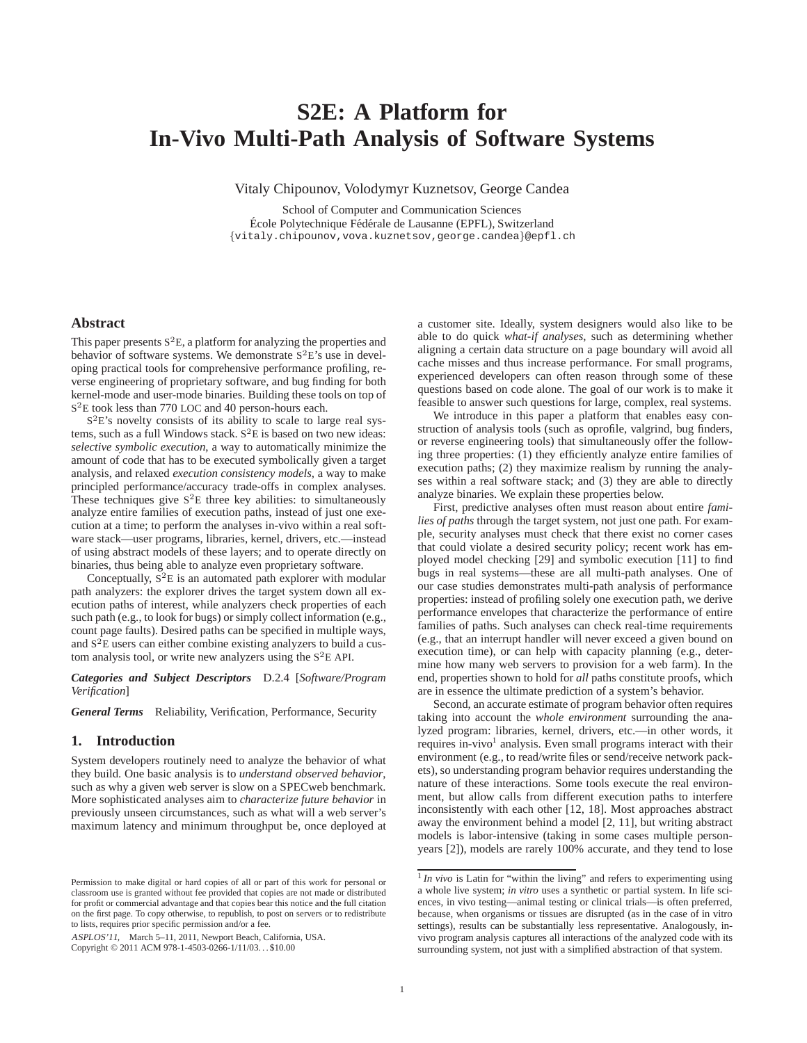# **S2E: A Platform for In-Vivo Multi-Path Analysis of Software Systems**

Vitaly Chipounov, Volodymyr Kuznetsov, George Candea

School of Computer and Communication Sciences École Polytechnique Fédérale de Lausanne (EPFL), Switzerland {vitaly.chipounov,vova.kuznetsov,george.candea}@epfl.ch

## **Abstract**

This paper presents  $S^2E$ , a platform for analyzing the properties and behavior of software systems. We demonstrate S<sup>2</sup>E's use in developing practical tools for comprehensive performance profiling, reverse engineering of proprietary software, and bug finding for both kernel-mode and user-mode binaries. Building these tools on top of S <sup>2</sup>E took less than 770 LOC and 40 person-hours each.

S <sup>2</sup>E's novelty consists of its ability to scale to large real systems, such as a full Windows stack. S <sup>2</sup>E is based on two new ideas: *selective symbolic execution*, a way to automatically minimize the amount of code that has to be executed symbolically given a target analysis, and relaxed *execution consistency models*, a way to make principled performance/accuracy trade-offs in complex analyses. These techniques give  $S^2E$  three key abilities: to simultaneously analyze entire families of execution paths, instead of just one execution at a time; to perform the analyses in-vivo within a real software stack—user programs, libraries, kernel, drivers, etc.—instead of using abstract models of these layers; and to operate directly on binaries, thus being able to analyze even proprietary software.

Conceptually,  $S^2E$  is an automated path explorer with modular path analyzers: the explorer drives the target system down all execution paths of interest, while analyzers check properties of each such path (e.g., to look for bugs) or simply collect information (e.g., count page faults). Desired paths can be specified in multiple ways, and  $S<sup>2</sup>E$  users can either combine existing analyzers to build a custom analysis tool, or write new analyzers using the S <sup>2</sup>E API.

*Categories and Subject Descriptors* D.2.4 [*Software/Program Verification*]

*General Terms* Reliability, Verification, Performance, Security

## **1. Introduction**

System developers routinely need to analyze the behavior of what they build. One basic analysis is to *understand observed behavior*, such as why a given web server is slow on a SPECweb benchmark. More sophisticated analyses aim to *characterize future behavior* in previously unseen circumstances, such as what will a web server's maximum latency and minimum throughput be, once deployed at

ASPLOS'11, March 5–11, 2011, Newport Beach, California, USA. Copyright © 2011 ACM 978-1-4503-0266-1/11/03. . . \$10.00

a customer site. Ideally, system designers would also like to be able to do quick *what-if analyses*, such as determining whether aligning a certain data structure on a page boundary will avoid all cache misses and thus increase performance. For small programs, experienced developers can often reason through some of these questions based on code alone. The goal of our work is to make it feasible to answer such questions for large, complex, real systems.

We introduce in this paper a platform that enables easy construction of analysis tools (such as oprofile, valgrind, bug finders, or reverse engineering tools) that simultaneously offer the following three properties: (1) they efficiently analyze entire families of execution paths; (2) they maximize realism by running the analyses within a real software stack; and (3) they are able to directly analyze binaries. We explain these properties below.

First, predictive analyses often must reason about entire *families of paths* through the target system, not just one path. For example, security analyses must check that there exist no corner cases that could violate a desired security policy; recent work has employed model checking [29] and symbolic execution [11] to find bugs in real systems—these are all multi-path analyses. One of our case studies demonstrates multi-path analysis of performance properties: instead of profiling solely one execution path, we derive performance envelopes that characterize the performance of entire families of paths. Such analyses can check real-time requirements (e.g., that an interrupt handler will never exceed a given bound on execution time), or can help with capacity planning (e.g., determine how many web servers to provision for a web farm). In the end, properties shown to hold for *all* paths constitute proofs, which are in essence the ultimate prediction of a system's behavior.

Second, an accurate estimate of program behavior often requires taking into account the *whole environment* surrounding the analyzed program: libraries, kernel, drivers, etc.—in other words, it requires in-vivo<sup>1</sup> analysis. Even small programs interact with their environment (e.g., to read/write files or send/receive network packets), so understanding program behavior requires understanding the nature of these interactions. Some tools execute the real environment, but allow calls from different execution paths to interfere inconsistently with each other [12, 18]. Most approaches abstract away the environment behind a model [2, 11], but writing abstract models is labor-intensive (taking in some cases multiple personyears [2]), models are rarely 100% accurate, and they tend to lose

Permission to make digital or hard copies of all or part of this work for personal or classroom use is granted without fee provided that copies are not made or distributed for profit or commercial advantage and that copies bear this notice and the full citation on the first page. To copy otherwise, to republish, to post on servers or to redistribute to lists, requires prior specific permission and/or a fee.

 $<sup>1</sup>$ *In vivo* is Latin for "within the living" and refers to experimenting using</sup> a whole live system; *in vitro* uses a synthetic or partial system. In life sciences, in vivo testing—animal testing or clinical trials—is often preferred, because, when organisms or tissues are disrupted (as in the case of in vitro settings), results can be substantially less representative. Analogously, invivo program analysis captures all interactions of the analyzed code with its surrounding system, not just with a simplified abstraction of that system.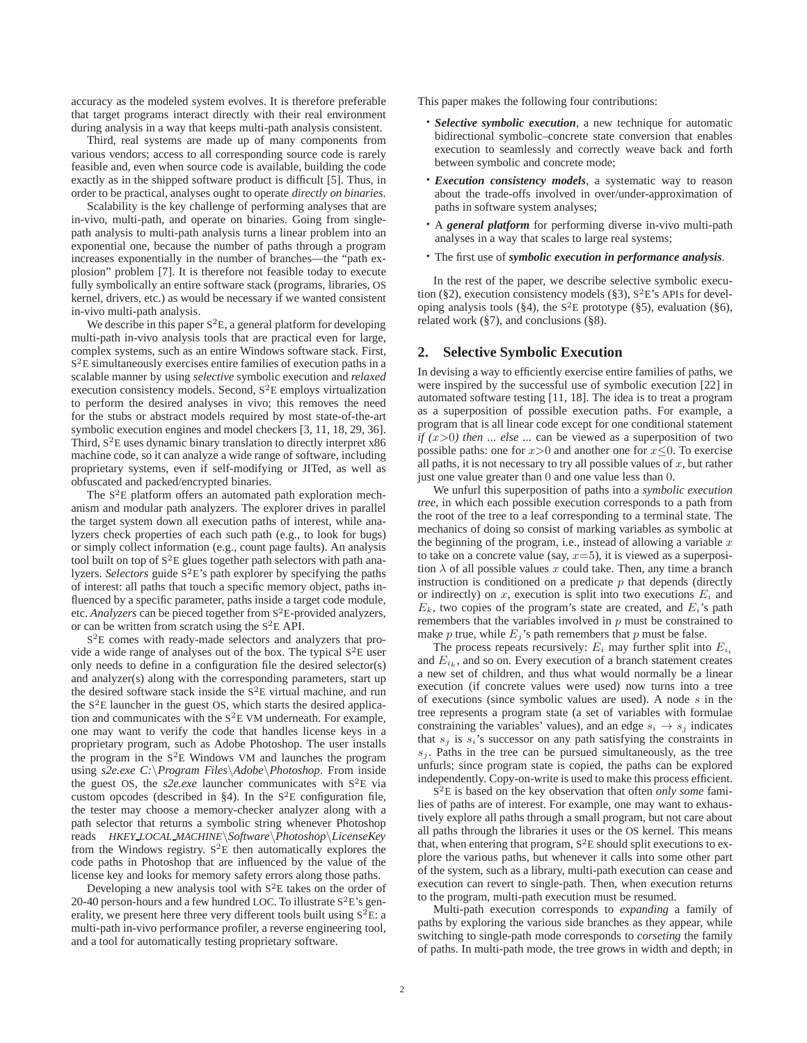accuracy as the modeled system evolves. It is therefore preferable that target programs interact directly with their real environment during analysis in a way that keeps multi-path analysis consistent.

Third, real systems are made up of many components from various vendors; access to all corresponding source code is rarely feasible and, even when source code is available, building the code exactly as in the shipped software product is difficult [5]. Thus, in order to be practical, analyses ought to operate *directly on binaries*.

Scalability is the key challenge of performing analyses that are in-vivo, multi-path, and operate on binaries. Going from singlepath analysis to multi-path analysis turns a linear problem into an exponential one, because the number of paths through a program increases exponentially in the number of branches—the "path explosion" problem [7]. It is therefore not feasible today to execute fully symbolically an entire software stack (programs, libraries, OS kernel, drivers, etc.) as would be necessary if we wanted consistent in-vivo multi-path analysis.

We describe in this paper S<sup>2</sup>E, a general platform for developing multi-path in-vivo analysis tools that are practical even for large, complex systems, such as an entire Windows software stack. First, S<sup>2</sup>E simultaneously exercises entire families of execution paths in a scalable manner by using *selective* symbolic execution and *relaxed* execution consistency models. Second, S <sup>2</sup>E employs virtualization to perform the desired analyses in vivo; this removes the need for the stubs or abstract models required by most state-of-the-art symbolic execution engines and model checkers [3, 11, 18, 29, 36]. Third, S <sup>2</sup>E uses dynamic binary translation to directly interpret x86 machine code, so it can analyze a wide range of software, including proprietary systems, even if self-modifying or JITed, as well as obfuscated and packed/encrypted binaries.

The S<sup>2</sup>E platform offers an automated path exploration mechanism and modular path analyzers. The explorer drives in parallel the target system down all execution paths of interest, while analyzers check properties of each such path (e.g., to look for bugs) or simply collect information (e.g., count page faults). An analysis tool built on top of S <sup>2</sup>E glues together path selectors with path analyzers. *Selectors* guide S <sup>2</sup>E's path explorer by specifying the paths of interest: all paths that touch a specific memory object, paths influenced by a specific parameter, paths inside a target code module, etc. *Analyzers* can be pieced together from S <sup>2</sup>E-provided analyzers, or can be written from scratch using the S <sup>2</sup>E API.

S <sup>2</sup>E comes with ready-made selectors and analyzers that provide a wide range of analyses out of the box. The typical S <sup>2</sup>E user only needs to define in a configuration file the desired selector(s) and analyzer(s) along with the corresponding parameters, start up the desired software stack inside the  $S^2E$  virtual machine, and run the S <sup>2</sup>E launcher in the guest OS, which starts the desired application and communicates with the S <sup>2</sup>E VM underneath. For example, one may want to verify the code that handles license keys in a proprietary program, such as Adobe Photoshop. The user installs the program in the S <sup>2</sup>E Windows VM and launches the program using *s2e.exe C:*\*Program Files*\*Adobe*\*Photoshop*. From inside the guest OS, the *s2e.exe* launcher communicates with S <sup>2</sup>E via custom opcodes (described in §4). In the S <sup>2</sup>E configuration file, the tester may choose a memory-checker analyzer along with a path selector that returns a symbolic string whenever Photoshop reads *HKEY LOCAL MACHINE*\*Software*\*Photoshop*\*LicenseKey* from the Windows registry.  $S^2E$  then automatically explores the code paths in Photoshop that are influenced by the value of the license key and looks for memory safety errors along those paths.

Developing a new analysis tool with S <sup>2</sup>E takes on the order of 20-40 person-hours and a few hundred LOC. To illustrate S <sup>2</sup>E's generality, we present here three very different tools built using  $S^2E$ : a multi-path in-vivo performance profiler, a reverse engineering tool, and a tool for automatically testing proprietary software.

This paper makes the following four contributions:

- *Selective symbolic execution*, a new technique for automatic bidirectional symbolic–concrete state conversion that enables execution to seamlessly and correctly weave back and forth between symbolic and concrete mode;
- *Execution consistency models*, a systematic way to reason about the trade-offs involved in over/under-approximation of paths in software system analyses;
- A *general platform* for performing diverse in-vivo multi-path analyses in a way that scales to large real systems;
- The first use of *symbolic execution in performance analysis*.

In the rest of the paper, we describe selective symbolic execution (§2), execution consistency models (§3),  $S^2E$ 's APIs for developing analysis tools (§4), the  $S^2E$  prototype (§5), evaluation (§6), related work (§7), and conclusions (§8).

## **2. Selective Symbolic Execution**

In devising a way to efficiently exercise entire families of paths, we were inspired by the successful use of symbolic execution [22] in automated software testing [11, 18]. The idea is to treat a program as a superposition of possible execution paths. For example, a program that is all linear code except for one conditional statement *if*  $(x>0)$  *then* ... *else* ... can be viewed as a superposition of two possible paths: one for  $x>0$  and another one for  $x<0$ . To exercise all paths, it is not necessary to try all possible values of  $x$ , but rather just one value greater than 0 and one value less than 0.

We unfurl this superposition of paths into a *symbolic execution tree*, in which each possible execution corresponds to a path from the root of the tree to a leaf corresponding to a terminal state. The mechanics of doing so consist of marking variables as symbolic at the beginning of the program, i.e., instead of allowing a variable  $x$ to take on a concrete value (say,  $x=5$ ), it is viewed as a superposition  $\lambda$  of all possible values x could take. Then, any time a branch instruction is conditioned on a predicate  $p$  that depends (directly or indirectly) on  $x$ , execution is split into two executions  $E_i$  and  $E<sub>k</sub>$ , two copies of the program's state are created, and  $E<sub>i</sub>$ 's path remembers that the variables involved in  $p$  must be constrained to make p true, while  $E_j$ 's path remembers that p must be false.

The process repeats recursively:  $E_i$  may further split into  $E_{i,i}$ and  $E_{i_k}$ , and so on. Every execution of a branch statement creates a new set of children, and thus what would normally be a linear execution (if concrete values were used) now turns into a tree of executions (since symbolic values are used). A node s in the tree represents a program state (a set of variables with formulae constraining the variables' values), and an edge  $s_i \rightarrow s_j$  indicates that  $s_j$  is  $s_i$ 's successor on any path satisfying the constraints in  $s_i$ . Paths in the tree can be pursued simultaneously, as the tree unfurls; since program state is copied, the paths can be explored independently. Copy-on-write is used to make this process efficient.

S <sup>2</sup>E is based on the key observation that often *only some* families of paths are of interest. For example, one may want to exhaustively explore all paths through a small program, but not care about all paths through the libraries it uses or the OS kernel. This means that, when entering that program, S <sup>2</sup>E should split executions to explore the various paths, but whenever it calls into some other part of the system, such as a library, multi-path execution can cease and execution can revert to single-path. Then, when execution returns to the program, multi-path execution must be resumed.

Multi-path execution corresponds to *expanding* a family of paths by exploring the various side branches as they appear, while switching to single-path mode corresponds to *corseting* the family of paths. In multi-path mode, the tree grows in width and depth; in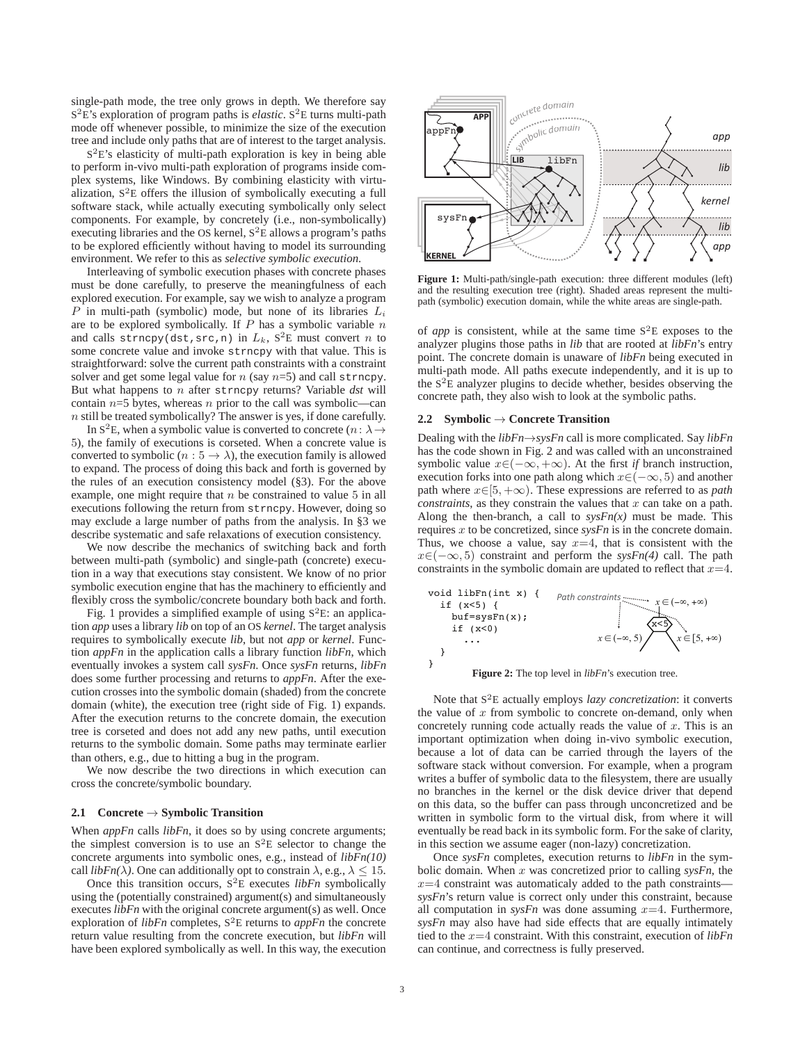single-path mode, the tree only grows in depth. We therefore say S <sup>2</sup>E's exploration of program paths is *elastic*. S <sup>2</sup>E turns multi-path mode off whenever possible, to minimize the size of the execution tree and include only paths that are of interest to the target analysis.

S <sup>2</sup>E's elasticity of multi-path exploration is key in being able to perform in-vivo multi-path exploration of programs inside complex systems, like Windows. By combining elasticity with virtualization, S <sup>2</sup>E offers the illusion of symbolically executing a full software stack, while actually executing symbolically only select components. For example, by concretely (i.e., non-symbolically) executing libraries and the OS kernel, S <sup>2</sup>E allows a program's paths to be explored efficiently without having to model its surrounding environment. We refer to this as *selective symbolic execution*.

Interleaving of symbolic execution phases with concrete phases must be done carefully, to preserve the meaningfulness of each explored execution. For example, say we wish to analyze a program P in multi-path (symbolic) mode, but none of its libraries  $L_i$ are to be explored symbolically. If  $P$  has a symbolic variable  $n$ and calls strncpy(dst, src,n) in  $L_k$ ,  $S^2E$  must convert n to some concrete value and invoke strncpy with that value. This is straightforward: solve the current path constraints with a constraint solver and get some legal value for  $n$  (say  $n=5$ ) and call strncpy. But what happens to n after strncpy returns? Variable *dst* will contain  $n=5$  bytes, whereas n prior to the call was symbolic—can n still be treated symbolically? The answer is yes, if done carefully.

In S<sup>2</sup>E, when a symbolic value is converted to concrete ( $n: \lambda \rightarrow$ 5), the family of executions is corseted. When a concrete value is converted to symbolic  $(n : 5 \rightarrow \lambda)$ , the execution family is allowed to expand. The process of doing this back and forth is governed by the rules of an execution consistency model (§3). For the above example, one might require that  $n$  be constrained to value  $5$  in all executions following the return from strncpy. However, doing so may exclude a large number of paths from the analysis. In §3 we describe systematic and safe relaxations of execution consistency.

We now describe the mechanics of switching back and forth between multi-path (symbolic) and single-path (concrete) execution in a way that executions stay consistent. We know of no prior symbolic execution engine that has the machinery to efficiently and flexibly cross the symbolic/concrete boundary both back and forth.

Fig. 1 provides a simplified example of using  $S^2E$ : an application *app* uses a library *lib* on top of an OS *kernel*. The target analysis requires to symbolically execute *lib*, but not *app* or *kernel*. Function *appFn* in the application calls a library function *libFn*, which eventually invokes a system call *sysFn*. Once *sysFn* returns, *libFn* does some further processing and returns to *appFn*. After the execution crosses into the symbolic domain (shaded) from the concrete domain (white), the execution tree (right side of Fig. 1) expands. After the execution returns to the concrete domain, the execution tree is corseted and does not add any new paths, until execution returns to the symbolic domain. Some paths may terminate earlier than others, e.g., due to hitting a bug in the program.

We now describe the two directions in which execution can cross the concrete/symbolic boundary.

#### **2.1 Concrete** → **Symbolic Transition**

When *appFn* calls *libFn*, it does so by using concrete arguments; the simplest conversion is to use an S <sup>2</sup>E selector to change the concrete arguments into symbolic ones, e.g., instead of *libFn(10)* call  $libFn(\lambda)$ . One can additionally opt to constrain  $\lambda$ , e.g.,  $\lambda \leq 15$ .

Once this transition occurs, S <sup>2</sup>E executes *libFn* symbolically using the (potentially constrained) argument(s) and simultaneously executes *libFn* with the original concrete argument(s) as well. Once exploration of *libFn* completes, S <sup>2</sup>E returns to *appFn* the concrete return value resulting from the concrete execution, but *libFn* will have been explored symbolically as well. In this way, the execution



**Figure 1:** Multi-path/single-path execution: three different modules (left) and the resulting execution tree (right). Shaded areas represent the multipath (symbolic) execution domain, while the white areas are single-path.

of *app* is consistent, while at the same time S <sup>2</sup>E exposes to the analyzer plugins those paths in *lib* that are rooted at *libFn*'s entry point. The concrete domain is unaware of *libFn* being executed in multi-path mode. All paths execute independently, and it is up to the S <sup>2</sup>E analyzer plugins to decide whether, besides observing the concrete path, they also wish to look at the symbolic paths.

#### **2.2 Symbolic** → **Concrete Transition**

Dealing with the *libFn*→*sysFn* call is more complicated. Say *libFn* has the code shown in Fig. 2 and was called with an unconstrained symbolic value  $x \in (-\infty, +\infty)$ . At the first *if* branch instruction, execution forks into one path along which  $x \in (-\infty, 5)$  and another path where  $x \in [5, +\infty)$ . These expressions are referred to as *path constraints*, as they constrain the values that x can take on a path. Along the then-branch, a call to  $sysFn(x)$  must be made. This requires x to be concretized, since *sysFn* is in the concrete domain. Thus, we choose a value, say  $x=4$ , that is consistent with the x∈(−∞, 5) constraint and perform the *sysFn(4)* call. The path constraints in the symbolic domain are updated to reflect that  $x=4$ .



**Figure 2:** The top level in *libFn*'s execution tree.

Note that S <sup>2</sup>E actually employs *lazy concretization*: it converts the value of  $x$  from symbolic to concrete on-demand, only when concretely running code actually reads the value of  $x$ . This is an important optimization when doing in-vivo symbolic execution, because a lot of data can be carried through the layers of the software stack without conversion. For example, when a program writes a buffer of symbolic data to the filesystem, there are usually no branches in the kernel or the disk device driver that depend on this data, so the buffer can pass through unconcretized and be written in symbolic form to the virtual disk, from where it will eventually be read back in its symbolic form. For the sake of clarity, in this section we assume eager (non-lazy) concretization.

Once *sysFn* completes, execution returns to *libFn* in the symbolic domain. When x was concretized prior to calling *sysFn*, the  $x=4$  constraint was automaticaly added to the path constraints *sysFn*'s return value is correct only under this constraint, because all computation in  $sysFn$  was done assuming  $x=4$ . Furthermore, *sysFn* may also have had side effects that are equally intimately tied to the x=4 constraint. With this constraint, execution of *libFn* can continue, and correctness is fully preserved.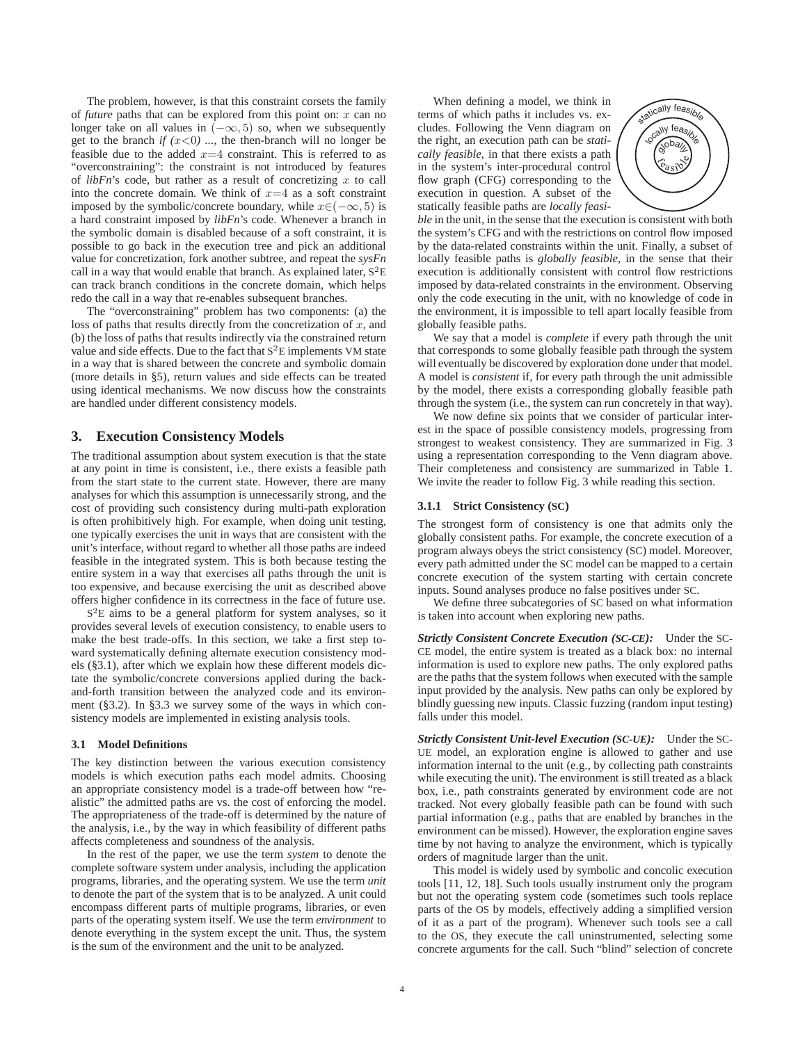The problem, however, is that this constraint corsets the family of *future* paths that can be explored from this point on:  $x$  can no longer take on all values in  $(-\infty, 5)$  so, when we subsequently get to the branch *if*  $(x<0)$  ..., the then-branch will no longer be feasible due to the added  $x=4$  constraint. This is referred to as "overconstraining": the constraint is not introduced by features of  $libFn$ 's code, but rather as a result of concretizing  $x$  to call into the concrete domain. We think of  $x=4$  as a soft constraint imposed by the symbolic/concrete boundary, while  $x \in (-\infty, 5)$  is a hard constraint imposed by *libFn*'s code. Whenever a branch in the symbolic domain is disabled because of a soft constraint, it is possible to go back in the execution tree and pick an additional value for concretization, fork another subtree, and repeat the *sysFn* call in a way that would enable that branch. As explained later,  $S^2E$ can track branch conditions in the concrete domain, which helps redo the call in a way that re-enables subsequent branches.

The "overconstraining" problem has two components: (a) the loss of paths that results directly from the concretization of  $x$ , and (b) the loss of paths that results indirectly via the constrained return value and side effects. Due to the fact that S <sup>2</sup>E implements VM state in a way that is shared between the concrete and symbolic domain (more details in §5), return values and side effects can be treated using identical mechanisms. We now discuss how the constraints are handled under different consistency models.

## **3. Execution Consistency Models**

The traditional assumption about system execution is that the state at any point in time is consistent, i.e., there exists a feasible path from the start state to the current state. However, there are many analyses for which this assumption is unnecessarily strong, and the cost of providing such consistency during multi-path exploration is often prohibitively high. For example, when doing unit testing, one typically exercises the unit in ways that are consistent with the unit's interface, without regard to whether all those paths are indeed feasible in the integrated system. This is both because testing the entire system in a way that exercises all paths through the unit is too expensive, and because exercising the unit as described above offers higher confidence in its correctness in the face of future use.

S<sup>2</sup>E aims to be a general platform for system analyses, so it provides several levels of execution consistency, to enable users to make the best trade-offs. In this section, we take a first step toward systematically defining alternate execution consistency models (§3.1), after which we explain how these different models dictate the symbolic/concrete conversions applied during the backand-forth transition between the analyzed code and its environment (§3.2). In §3.3 we survey some of the ways in which consistency models are implemented in existing analysis tools.

## **3.1 Model Definitions**

The key distinction between the various execution consistency models is which execution paths each model admits. Choosing an appropriate consistency model is a trade-off between how "realistic" the admitted paths are vs. the cost of enforcing the model. The appropriateness of the trade-off is determined by the nature of the analysis, i.e., by the way in which feasibility of different paths affects completeness and soundness of the analysis.

In the rest of the paper, we use the term *system* to denote the complete software system under analysis, including the application programs, libraries, and the operating system. We use the term *unit* to denote the part of the system that is to be analyzed. A unit could encompass different parts of multiple programs, libraries, or even parts of the operating system itself. We use the term *environment* to denote everything in the system except the unit. Thus, the system is the sum of the environment and the unit to be analyzed.

When defining a model, we think in terms of which paths it includes vs. excludes. Following the Venn diagram on the right, an execution path can be *statically feasible*, in that there exists a path in the system's inter-procedural control flow graph (CFG) corresponding to the execution in question. A subset of the statically feasible paths are *locally feasi-*



*ble* in the unit, in the sense that the execution is consistent with both the system's CFG and with the restrictions on control flow imposed by the data-related constraints within the unit. Finally, a subset of locally feasible paths is *globally feasible*, in the sense that their execution is additionally consistent with control flow restrictions imposed by data-related constraints in the environment. Observing only the code executing in the unit, with no knowledge of code in the environment, it is impossible to tell apart locally feasible from globally feasible paths.

We say that a model is *complete* if every path through the unit that corresponds to some globally feasible path through the system will eventually be discovered by exploration done under that model. A model is *consistent* if, for every path through the unit admissible by the model, there exists a corresponding globally feasible path through the system (i.e., the system can run concretely in that way).

We now define six points that we consider of particular interest in the space of possible consistency models, progressing from strongest to weakest consistency. They are summarized in Fig. 3 using a representation corresponding to the Venn diagram above. Their completeness and consistency are summarized in Table 1. We invite the reader to follow Fig. 3 while reading this section.

### **3.1.1 Strict Consistency (SC)**

The strongest form of consistency is one that admits only the globally consistent paths. For example, the concrete execution of a program always obeys the strict consistency (SC) model. Moreover, every path admitted under the SC model can be mapped to a certain concrete execution of the system starting with certain concrete inputs. Sound analyses produce no false positives under SC.

We define three subcategories of SC based on what information is taken into account when exploring new paths.

*Strictly Consistent Concrete Execution (SC-CE):* Under the SC-CE model, the entire system is treated as a black box: no internal information is used to explore new paths. The only explored paths are the paths that the system follows when executed with the sample input provided by the analysis. New paths can only be explored by blindly guessing new inputs. Classic fuzzing (random input testing) falls under this model.

*Strictly Consistent Unit-level Execution (SC-UE):* Under the SC-UE model, an exploration engine is allowed to gather and use information internal to the unit (e.g., by collecting path constraints while executing the unit). The environment is still treated as a black box, i.e., path constraints generated by environment code are not tracked. Not every globally feasible path can be found with such partial information (e.g., paths that are enabled by branches in the environment can be missed). However, the exploration engine saves time by not having to analyze the environment, which is typically orders of magnitude larger than the unit.

This model is widely used by symbolic and concolic execution tools [11, 12, 18]. Such tools usually instrument only the program but not the operating system code (sometimes such tools replace parts of the OS by models, effectively adding a simplified version of it as a part of the program). Whenever such tools see a call to the OS, they execute the call uninstrumented, selecting some concrete arguments for the call. Such "blind" selection of concrete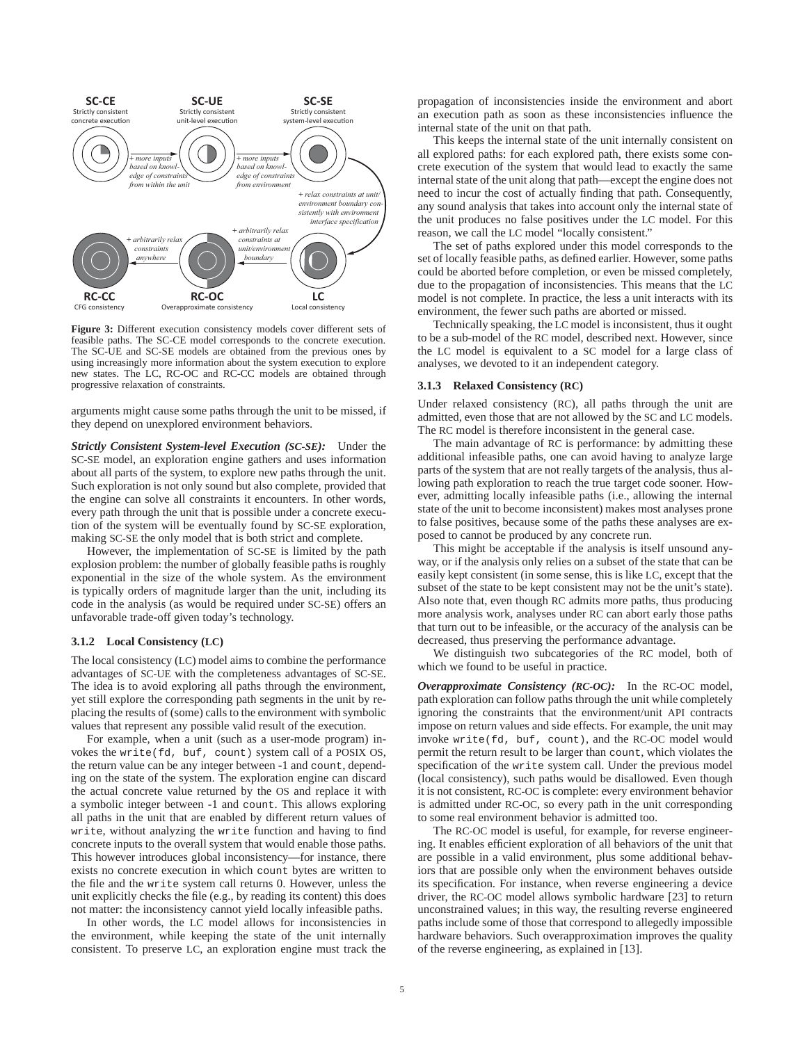

**Figure 3:** Different execution consistency models cover different sets of feasible paths. The SC-CE model corresponds to the concrete execution. The SC-UE and SC-SE models are obtained from the previous ones by using increasingly more information about the system execution to explore new states. The LC, RC-OC and RC-CC models are obtained through progressive relaxation of constraints.

arguments might cause some paths through the unit to be missed, if they depend on unexplored environment behaviors.

*Strictly Consistent System-level Execution (SC-SE):* Under the SC-SE model, an exploration engine gathers and uses information about all parts of the system, to explore new paths through the unit. Such exploration is not only sound but also complete, provided that the engine can solve all constraints it encounters. In other words, every path through the unit that is possible under a concrete execution of the system will be eventually found by SC-SE exploration, making SC-SE the only model that is both strict and complete.

However, the implementation of SC-SE is limited by the path explosion problem: the number of globally feasible paths is roughly exponential in the size of the whole system. As the environment is typically orders of magnitude larger than the unit, including its code in the analysis (as would be required under SC-SE) offers an unfavorable trade-off given today's technology.

## **3.1.2 Local Consistency (LC)**

The local consistency (LC) model aims to combine the performance advantages of SC-UE with the completeness advantages of SC-SE. The idea is to avoid exploring all paths through the environment, yet still explore the corresponding path segments in the unit by replacing the results of (some) calls to the environment with symbolic values that represent any possible valid result of the execution.

For example, when a unit (such as a user-mode program) invokes the write(fd, buf, count) system call of a POSIX OS, the return value can be any integer between -1 and count, depending on the state of the system. The exploration engine can discard the actual concrete value returned by the OS and replace it with a symbolic integer between -1 and count. This allows exploring all paths in the unit that are enabled by different return values of write, without analyzing the write function and having to find concrete inputs to the overall system that would enable those paths. This however introduces global inconsistency—for instance, there exists no concrete execution in which count bytes are written to the file and the write system call returns 0. However, unless the unit explicitly checks the file (e.g., by reading its content) this does not matter: the inconsistency cannot yield locally infeasible paths.

In other words, the LC model allows for inconsistencies in the environment, while keeping the state of the unit internally consistent. To preserve LC, an exploration engine must track the

propagation of inconsistencies inside the environment and abort an execution path as soon as these inconsistencies influence the internal state of the unit on that path.

This keeps the internal state of the unit internally consistent on all explored paths: for each explored path, there exists some concrete execution of the system that would lead to exactly the same internal state of the unit along that path—except the engine does not need to incur the cost of actually finding that path. Consequently, any sound analysis that takes into account only the internal state of the unit produces no false positives under the LC model. For this reason, we call the LC model "locally consistent."

The set of paths explored under this model corresponds to the set of locally feasible paths, as defined earlier. However, some paths could be aborted before completion, or even be missed completely, due to the propagation of inconsistencies. This means that the LC model is not complete. In practice, the less a unit interacts with its environment, the fewer such paths are aborted or missed.

Technically speaking, the LC model is inconsistent, thus it ought to be a sub-model of the RC model, described next. However, since the LC model is equivalent to a SC model for a large class of analyses, we devoted to it an independent category.

#### **3.1.3 Relaxed Consistency (RC)**

Under relaxed consistency (RC), all paths through the unit are admitted, even those that are not allowed by the SC and LC models. The RC model is therefore inconsistent in the general case.

The main advantage of RC is performance: by admitting these additional infeasible paths, one can avoid having to analyze large parts of the system that are not really targets of the analysis, thus allowing path exploration to reach the true target code sooner. However, admitting locally infeasible paths (i.e., allowing the internal state of the unit to become inconsistent) makes most analyses prone to false positives, because some of the paths these analyses are exposed to cannot be produced by any concrete run.

This might be acceptable if the analysis is itself unsound anyway, or if the analysis only relies on a subset of the state that can be easily kept consistent (in some sense, this is like LC, except that the subset of the state to be kept consistent may not be the unit's state). Also note that, even though RC admits more paths, thus producing more analysis work, analyses under RC can abort early those paths that turn out to be infeasible, or the accuracy of the analysis can be decreased, thus preserving the performance advantage.

We distinguish two subcategories of the RC model, both of which we found to be useful in practice.

*Overapproximate Consistency (RC-OC):* In the RC-OC model, path exploration can follow paths through the unit while completely ignoring the constraints that the environment/unit API contracts impose on return values and side effects. For example, the unit may invoke write(fd, buf, count), and the RC-OC model would permit the return result to be larger than count, which violates the specification of the write system call. Under the previous model (local consistency), such paths would be disallowed. Even though it is not consistent, RC-OC is complete: every environment behavior is admitted under RC-OC, so every path in the unit corresponding to some real environment behavior is admitted too.

The RC-OC model is useful, for example, for reverse engineering. It enables efficient exploration of all behaviors of the unit that are possible in a valid environment, plus some additional behaviors that are possible only when the environment behaves outside its specification. For instance, when reverse engineering a device driver, the RC-OC model allows symbolic hardware [23] to return unconstrained values; in this way, the resulting reverse engineered paths include some of those that correspond to allegedly impossible hardware behaviors. Such overapproximation improves the quality of the reverse engineering, as explained in [13].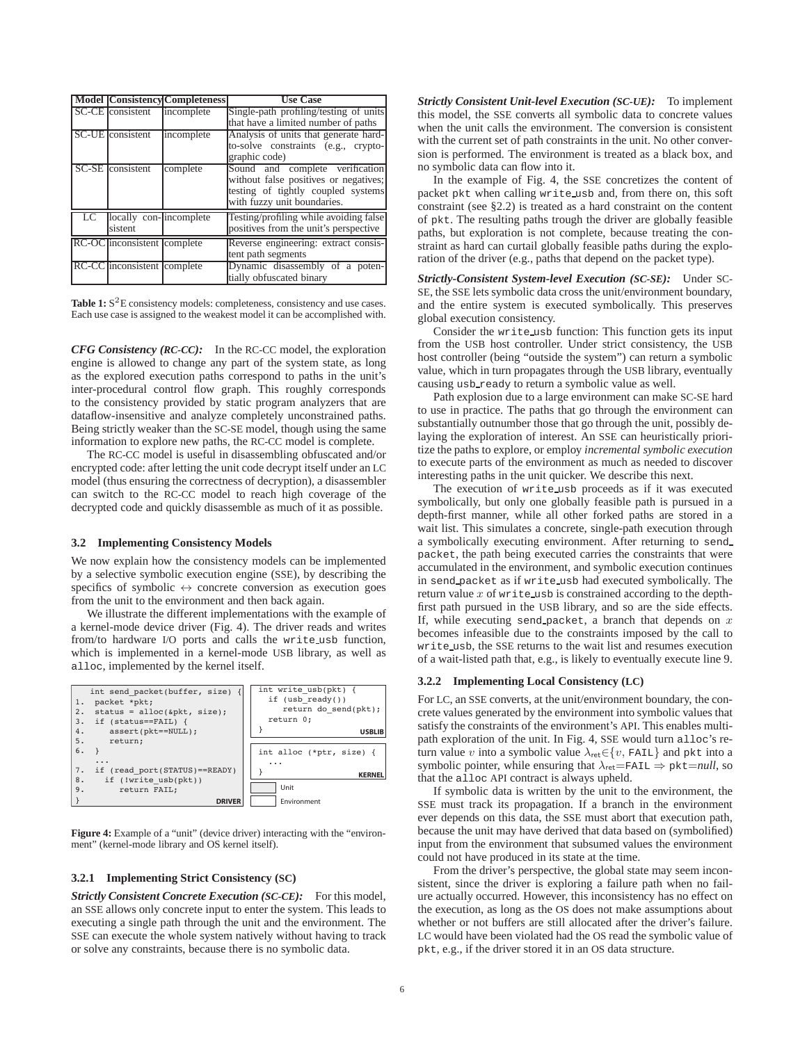|     |                             | <b>Model Consistency Completeness</b> | <b>Use Case</b>                        |
|-----|-----------------------------|---------------------------------------|----------------------------------------|
|     | <b>SC-CE</b> consistent     | incomplete                            | Single-path profiling/testing of units |
|     |                             |                                       | that have a limited number of paths    |
|     | SC-UE consistent            | incomplete                            | Analysis of units that generate hard-  |
|     |                             |                                       | to-solve constraints (e.g., crypto-    |
|     |                             |                                       | graphic code)                          |
|     | SC-SE consistent            | complete                              | Sound and complete verification        |
|     |                             |                                       | without false positives or negatives;  |
|     |                             |                                       | testing of tightly coupled systems     |
|     |                             |                                       | with fuzzy unit boundaries.            |
| LC- | locally con-incomplete      |                                       | Testing/profiling while avoiding false |
|     | sistent                     |                                       | positives from the unit's perspective  |
|     | RC-OC inconsistent complete |                                       | Reverse engineering: extract consis-   |
|     |                             |                                       | tent path segments                     |
|     | RC-CC inconsistent complete |                                       | Dynamic disassembly of a poten-        |
|     |                             |                                       | tially obfuscated binary               |

Table 1:  $S^2E$  consistency models: completeness, consistency and use cases. Each use case is assigned to the weakest model it can be accomplished with.

*CFG Consistency (RC-CC):* In the RC-CC model, the exploration engine is allowed to change any part of the system state, as long as the explored execution paths correspond to paths in the unit's inter-procedural control flow graph. This roughly corresponds to the consistency provided by static program analyzers that are dataflow-insensitive and analyze completely unconstrained paths. Being strictly weaker than the SC-SE model, though using the same information to explore new paths, the RC-CC model is complete.

The RC-CC model is useful in disassembling obfuscated and/or encrypted code: after letting the unit code decrypt itself under an LC model (thus ensuring the correctness of decryption), a disassembler can switch to the RC-CC model to reach high coverage of the decrypted code and quickly disassemble as much of it as possible.

## **3.2 Implementing Consistency Models**

We now explain how the consistency models can be implemented by a selective symbolic execution engine (SSE), by describing the specifics of symbolic  $\leftrightarrow$  concrete conversion as execution goes from the unit to the environment and then back again.

We illustrate the different implementations with the example of a kernel-mode device driver (Fig. 4). The driver reads and writes from/to hardware I/O ports and calls the write usb function, which is implemented in a kernel-mode USB library, as well as alloc, implemented by the kernel itself.



Figure 4: Example of a "unit" (device driver) interacting with the "environment" (kernel-mode library and OS kernel itself).

#### **3.2.1 Implementing Strict Consistency (SC)**

*Strictly Consistent Concrete Execution (SC-CE):* For this model, an SSE allows only concrete input to enter the system. This leads to executing a single path through the unit and the environment. The SSE can execute the whole system natively without having to track or solve any constraints, because there is no symbolic data.

*Strictly Consistent Unit-level Execution (SC-UE):* To implement this model, the SSE converts all symbolic data to concrete values when the unit calls the environment. The conversion is consistent with the current set of path constraints in the unit. No other conversion is performed. The environment is treated as a black box, and no symbolic data can flow into it.

In the example of Fig. 4, the SSE concretizes the content of packet pkt when calling write usb and, from there on, this soft constraint (see §2.2) is treated as a hard constraint on the content of pkt. The resulting paths trough the driver are globally feasible paths, but exploration is not complete, because treating the constraint as hard can curtail globally feasible paths during the exploration of the driver (e.g., paths that depend on the packet type).

*Strictly-Consistent System-level Execution (SC-SE):* Under SC-SE, the SSE lets symbolic data cross the unit/environment boundary, and the entire system is executed symbolically. This preserves global execution consistency.

Consider the write usb function: This function gets its input from the USB host controller. Under strict consistency, the USB host controller (being "outside the system") can return a symbolic value, which in turn propagates through the USB library, eventually causing usb ready to return a symbolic value as well.

Path explosion due to a large environment can make SC-SE hard to use in practice. The paths that go through the environment can substantially outnumber those that go through the unit, possibly delaying the exploration of interest. An SSE can heuristically prioritize the paths to explore, or employ *incremental symbolic execution* to execute parts of the environment as much as needed to discover interesting paths in the unit quicker. We describe this next.

The execution of write usb proceeds as if it was executed symbolically, but only one globally feasible path is pursued in a depth-first manner, while all other forked paths are stored in a wait list. This simulates a concrete, single-path execution through a symbolically executing environment. After returning to send packet, the path being executed carries the constraints that were accumulated in the environment, and symbolic execution continues in send packet as if write usb had executed symbolically. The return value  $x$  of write usb is constrained according to the depthfirst path pursued in the USB library, and so are the side effects. If, while executing send packet, a branch that depends on  $x$ becomes infeasible due to the constraints imposed by the call to write usb, the SSE returns to the wait list and resumes execution of a wait-listed path that, e.g., is likely to eventually execute line 9.

## **3.2.2 Implementing Local Consistency (LC)**

For LC, an SSE converts, at the unit/environment boundary, the concrete values generated by the environment into symbolic values that satisfy the constraints of the environment's API. This enables multipath exploration of the unit. In Fig. 4, SSE would turn alloc's return value v into a symbolic value  $\lambda_{\text{ret}} \in \{v, \text{ FAIL}\}\$  and pkt into a symbolic pointer, while ensuring that  $\lambda_{\text{ret}}$ =FAIL  $\Rightarrow$  pkt=*null*, so that the alloc API contract is always upheld.

If symbolic data is written by the unit to the environment, the SSE must track its propagation. If a branch in the environment ever depends on this data, the SSE must abort that execution path, because the unit may have derived that data based on (symbolified) input from the environment that subsumed values the environment could not have produced in its state at the time.

From the driver's perspective, the global state may seem inconsistent, since the driver is exploring a failure path when no failure actually occurred. However, this inconsistency has no effect on the execution, as long as the OS does not make assumptions about whether or not buffers are still allocated after the driver's failure. LC would have been violated had the OS read the symbolic value of pkt, e.g., if the driver stored it in an OS data structure.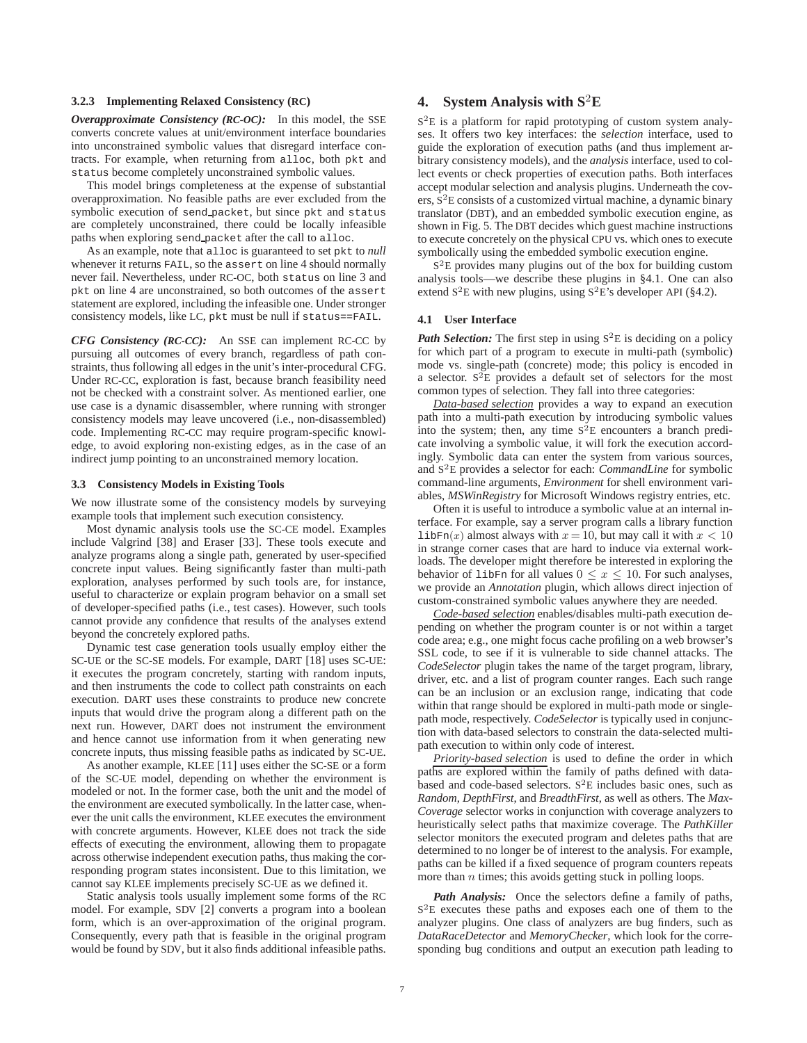## **3.2.3 Implementing Relaxed Consistency (RC)**

*Overapproximate Consistency (RC-OC):* In this model, the SSE converts concrete values at unit/environment interface boundaries into unconstrained symbolic values that disregard interface contracts. For example, when returning from alloc, both pkt and status become completely unconstrained symbolic values.

This model brings completeness at the expense of substantial overapproximation. No feasible paths are ever excluded from the symbolic execution of send packet, but since pkt and status are completely unconstrained, there could be locally infeasible paths when exploring send packet after the call to alloc.

As an example, note that alloc is guaranteed to set pkt to *null* whenever it returns FAIL, so the assert on line 4 should normally never fail. Nevertheless, under RC-OC, both status on line 3 and pkt on line 4 are unconstrained, so both outcomes of the assert statement are explored, including the infeasible one. Under stronger consistency models, like LC, pkt must be null if status==FAIL.

*CFG Consistency (RC-CC):* An SSE can implement RC-CC by pursuing all outcomes of every branch, regardless of path constraints, thus following all edges in the unit's inter-procedural CFG. Under RC-CC, exploration is fast, because branch feasibility need not be checked with a constraint solver. As mentioned earlier, one use case is a dynamic disassembler, where running with stronger consistency models may leave uncovered (i.e., non-disassembled) code. Implementing RC-CC may require program-specific knowledge, to avoid exploring non-existing edges, as in the case of an indirect jump pointing to an unconstrained memory location.

#### **3.3 Consistency Models in Existing Tools**

We now illustrate some of the consistency models by surveying example tools that implement such execution consistency.

Most dynamic analysis tools use the SC-CE model. Examples include Valgrind [38] and Eraser [33]. These tools execute and analyze programs along a single path, generated by user-specified concrete input values. Being significantly faster than multi-path exploration, analyses performed by such tools are, for instance, useful to characterize or explain program behavior on a small set of developer-specified paths (i.e., test cases). However, such tools cannot provide any confidence that results of the analyses extend beyond the concretely explored paths.

Dynamic test case generation tools usually employ either the SC-UE or the SC-SE models. For example, DART [18] uses SC-UE: it executes the program concretely, starting with random inputs, and then instruments the code to collect path constraints on each execution. DART uses these constraints to produce new concrete inputs that would drive the program along a different path on the next run. However, DART does not instrument the environment and hence cannot use information from it when generating new concrete inputs, thus missing feasible paths as indicated by SC-UE.

As another example, KLEE [11] uses either the SC-SE or a form of the SC-UE model, depending on whether the environment is modeled or not. In the former case, both the unit and the model of the environment are executed symbolically. In the latter case, whenever the unit calls the environment, KLEE executes the environment with concrete arguments. However, KLEE does not track the side effects of executing the environment, allowing them to propagate across otherwise independent execution paths, thus making the corresponding program states inconsistent. Due to this limitation, we cannot say KLEE implements precisely SC-UE as we defined it.

Static analysis tools usually implement some forms of the RC model. For example, SDV [2] converts a program into a boolean form, which is an over-approximation of the original program. Consequently, every path that is feasible in the original program would be found by SDV, but it also finds additional infeasible paths.

# **4. System Analysis with S**2**E**

S <sup>2</sup>E is a platform for rapid prototyping of custom system analyses. It offers two key interfaces: the *selection* interface, used to guide the exploration of execution paths (and thus implement arbitrary consistency models), and the *analysis* interface, used to collect events or check properties of execution paths. Both interfaces accept modular selection and analysis plugins. Underneath the covers,  $\hat{S}^2$ E consists of a customized virtual machine, a dynamic binary translator (DBT), and an embedded symbolic execution engine, as shown in Fig. 5. The DBT decides which guest machine instructions to execute concretely on the physical CPU vs. which ones to execute symbolically using the embedded symbolic execution engine.

S<sup>2</sup>E provides many plugins out of the box for building custom analysis tools—we describe these plugins in §4.1. One can also extend  $S^2E$  with new plugins, using  $S^2E$ 's developer API (§4.2).

## **4.1 User Interface**

Path Selection: The first step in using  $S^2E$  is deciding on a policy for which part of a program to execute in multi-path (symbolic) mode vs. single-path (concrete) mode; this policy is encoded in a selector. S <sup>2</sup>E provides a default set of selectors for the most common types of selection. They fall into three categories:

*Data-based selection* provides a way to expand an execution path into a multi-path execution by introducing symbolic values into the system; then, any time S <sup>2</sup>E encounters a branch predicate involving a symbolic value, it will fork the execution accordingly. Symbolic data can enter the system from various sources, and S <sup>2</sup>E provides a selector for each: *CommandLine* for symbolic command-line arguments, *Environment* for shell environment variables, *MSWinRegistry* for Microsoft Windows registry entries, etc.

Often it is useful to introduce a symbolic value at an internal interface. For example, say a server program calls a library function libFn(x) almost always with  $x = 10$ , but may call it with  $x < 10$ in strange corner cases that are hard to induce via external workloads. The developer might therefore be interested in exploring the behavior of lib<sub>Fn</sub> for all values  $0 \leq x \leq 10$ . For such analyses, we provide an *Annotation* plugin, which allows direct injection of custom-constrained symbolic values anywhere they are needed.

*Code-based selection* enables/disables multi-path execution depending on whether the program counter is or not within a target code area; e.g., one might focus cache profiling on a web browser's SSL code, to see if it is vulnerable to side channel attacks. The *CodeSelector* plugin takes the name of the target program, library, driver, etc. and a list of program counter ranges. Each such range can be an inclusion or an exclusion range, indicating that code within that range should be explored in multi-path mode or singlepath mode, respectively. *CodeSelector* is typically used in conjunction with data-based selectors to constrain the data-selected multipath execution to within only code of interest.

*Priority-based selection* is used to define the order in which paths are explored within the family of paths defined with databased and code-based selectors. S <sup>2</sup>E includes basic ones, such as *Random*, *DepthFirst*, and *BreadthFirst*, as well as others. The *Max-Coverage* selector works in conjunction with coverage analyzers to heuristically select paths that maximize coverage. The *PathKiller* selector monitors the executed program and deletes paths that are determined to no longer be of interest to the analysis. For example, paths can be killed if a fixed sequence of program counters repeats more than  $n$  times; this avoids getting stuck in polling loops.

*Path Analysis:* Once the selectors define a family of paths, S <sup>2</sup>E executes these paths and exposes each one of them to the analyzer plugins. One class of analyzers are bug finders, such as *DataRaceDetector* and *MemoryChecker*, which look for the corresponding bug conditions and output an execution path leading to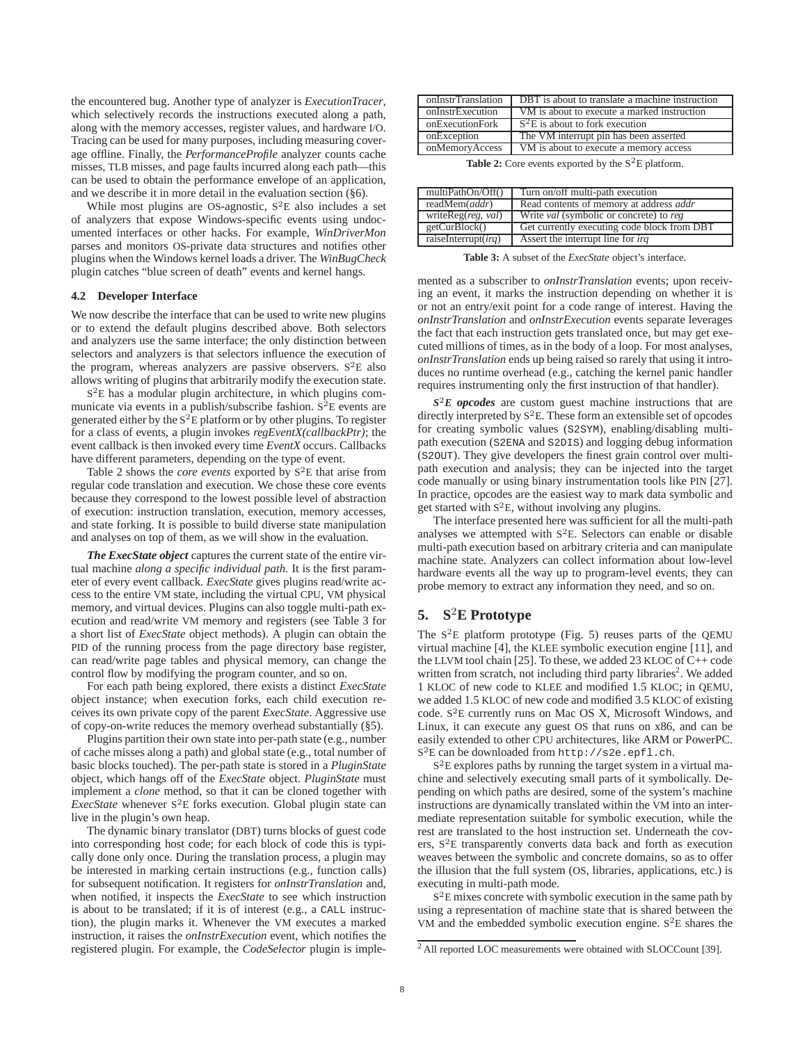the encountered bug. Another type of analyzer is *ExecutionTracer*, which selectively records the instructions executed along a path, along with the memory accesses, register values, and hardware I/O. Tracing can be used for many purposes, including measuring coverage offline. Finally, the *PerformanceProfile* analyzer counts cache misses, TLB misses, and page faults incurred along each path—this can be used to obtain the performance envelope of an application, and we describe it in more detail in the evaluation section (§6).

While most plugins are OS-agnostic, S <sup>2</sup>E also includes a set of analyzers that expose Windows-specific events using undocumented interfaces or other hacks. For example, *WinDriverMon* parses and monitors OS-private data structures and notifies other plugins when the Windows kernel loads a driver. The *WinBugCheck* plugin catches "blue screen of death" events and kernel hangs.

## **4.2 Developer Interface**

We now describe the interface that can be used to write new plugins or to extend the default plugins described above. Both selectors and analyzers use the same interface; the only distinction between selectors and analyzers is that selectors influence the execution of the program, whereas analyzers are passive observers. S <sup>2</sup>E also allows writing of plugins that arbitrarily modify the execution state.

S <sup>2</sup>E has a modular plugin architecture, in which plugins communicate via events in a publish/subscribe fashion.  $S^2E$  events are generated either by the  $S^2E$  platform or by other plugins. To register for a class of events, a plugin invokes *regEventX(callbackPtr)*; the event callback is then invoked every time *EventX* occurs. Callbacks have different parameters, depending on the type of event.

Table 2 shows the *core events* exported by S <sup>2</sup>E that arise from regular code translation and execution. We chose these core events because they correspond to the lowest possible level of abstraction of execution: instruction translation, execution, memory accesses, and state forking. It is possible to build diverse state manipulation and analyses on top of them, as we will show in the evaluation.

*The ExecState object* captures the current state of the entire virtual machine *along a specific individual path*. It is the first parameter of every event callback. *ExecState* gives plugins read/write access to the entire VM state, including the virtual CPU, VM physical memory, and virtual devices. Plugins can also toggle multi-path execution and read/write VM memory and registers (see Table 3 for a short list of *ExecState* object methods). A plugin can obtain the PID of the running process from the page directory base register, can read/write page tables and physical memory, can change the control flow by modifying the program counter, and so on.

For each path being explored, there exists a distinct *ExecState* object instance; when execution forks, each child execution receives its own private copy of the parent *ExecState*. Aggressive use of copy-on-write reduces the memory overhead substantially (§5).

Plugins partition their own state into per-path state (e.g., number of cache misses along a path) and global state (e.g., total number of basic blocks touched). The per-path state is stored in a *PluginState* object, which hangs off of the *ExecState* object. *PluginState* must implement a *clone* method, so that it can be cloned together with *ExecState* whenever S <sup>2</sup>E forks execution. Global plugin state can live in the plugin's own heap.

The dynamic binary translator (DBT) turns blocks of guest code into corresponding host code; for each block of code this is typically done only once. During the translation process, a plugin may be interested in marking certain instructions (e.g., function calls) for subsequent notification. It registers for *onInstrTranslation* and, when notified, it inspects the *ExecState* to see which instruction is about to be translated; if it is of interest (e.g., a CALL instruction), the plugin marks it. Whenever the VM executes a marked instruction, it raises the *onInstrExecution* event, which notifies the registered plugin. For example, the *CodeSelector* plugin is imple-

| onInstrTranslation | DBT is about to translate a machine instruction |
|--------------------|-------------------------------------------------|
| onInstrExecution   | VM is about to execute a marked instruction     |
| onExecutionFork    | $S^2E$ is about to fork execution               |
| onException        | The VM interrupt pin has been asserted          |
| onMemoryAccess     | VM is about to execute a memory access          |
|                    |                                                 |

**Table 2:** Core events exported by the S<sup>2</sup>E platform.

| multiPathOn/Off()            | Turn on/off multi-path execution               |
|------------------------------|------------------------------------------------|
| readMem( <i>addr</i> )       | Read contents of memory at address <i>addr</i> |
| write $\text{Reg}(reg, val)$ | Write <i>val</i> (symbolic or concrete) to reg |
| getCurBlock()                | Get currently executing code block from DBT    |
| raiseInterrupt $(irq)$       | Assert the interrupt line for <i>irg</i>       |

**Table 3:** A subset of the *ExecState* object's interface.

mented as a subscriber to *onInstrTranslation* events; upon receiving an event, it marks the instruction depending on whether it is or not an entry/exit point for a code range of interest. Having the *onInstrTranslation* and *onInstrExecution* events separate leverages the fact that each instruction gets translated once, but may get executed millions of times, as in the body of a loop. For most analyses, *onInstrTranslation* ends up being raised so rarely that using it introduces no runtime overhead (e.g., catching the kernel panic handler requires instrumenting only the first instruction of that handler).

*S* <sup>2</sup>*E opcodes* are custom guest machine instructions that are directly interpreted by S <sup>2</sup>E. These form an extensible set of opcodes for creating symbolic values (S2SYM), enabling/disabling multipath execution (S2ENA and S2DIS) and logging debug information (S2OUT). They give developers the finest grain control over multipath execution and analysis; they can be injected into the target code manually or using binary instrumentation tools like PIN [27]. In practice, opcodes are the easiest way to mark data symbolic and get started with S <sup>2</sup>E, without involving any plugins.

The interface presented here was sufficient for all the multi-path analyses we attempted with S <sup>2</sup>E. Selectors can enable or disable multi-path execution based on arbitrary criteria and can manipulate machine state. Analyzers can collect information about low-level hardware events all the way up to program-level events, they can probe memory to extract any information they need, and so on.

## **5. S**2**E Prototype**

The S <sup>2</sup>E platform prototype (Fig. 5) reuses parts of the QEMU virtual machine [4], the KLEE symbolic execution engine [11], and the LLVM tool chain [25]. To these, we added 23 KLOC of C++ code written from scratch, not including third party libraries<sup>2</sup>. We added 1 KLOC of new code to KLEE and modified 1.5 KLOC; in QEMU, we added 1.5 KLOC of new code and modified 3.5 KLOC of existing code. S <sup>2</sup>E currently runs on Mac OS X, Microsoft Windows, and Linux, it can execute any guest OS that runs on x86, and can be easily extended to other CPU architectures, like ARM or PowerPC. S <sup>2</sup>E can be downloaded from http://s2e.epfl.ch.

S <sup>2</sup>E explores paths by running the target system in a virtual machine and selectively executing small parts of it symbolically. Depending on which paths are desired, some of the system's machine instructions are dynamically translated within the VM into an intermediate representation suitable for symbolic execution, while the rest are translated to the host instruction set. Underneath the covers, S <sup>2</sup>E transparently converts data back and forth as execution weaves between the symbolic and concrete domains, so as to offer the illusion that the full system (OS, libraries, applications, etc.) is executing in multi-path mode.

S <sup>2</sup>E mixes concrete with symbolic execution in the same path by using a representation of machine state that is shared between the VM and the embedded symbolic execution engine. S <sup>2</sup>E shares the

<sup>&</sup>lt;sup>2</sup> All reported LOC measurements were obtained with SLOCCount [39].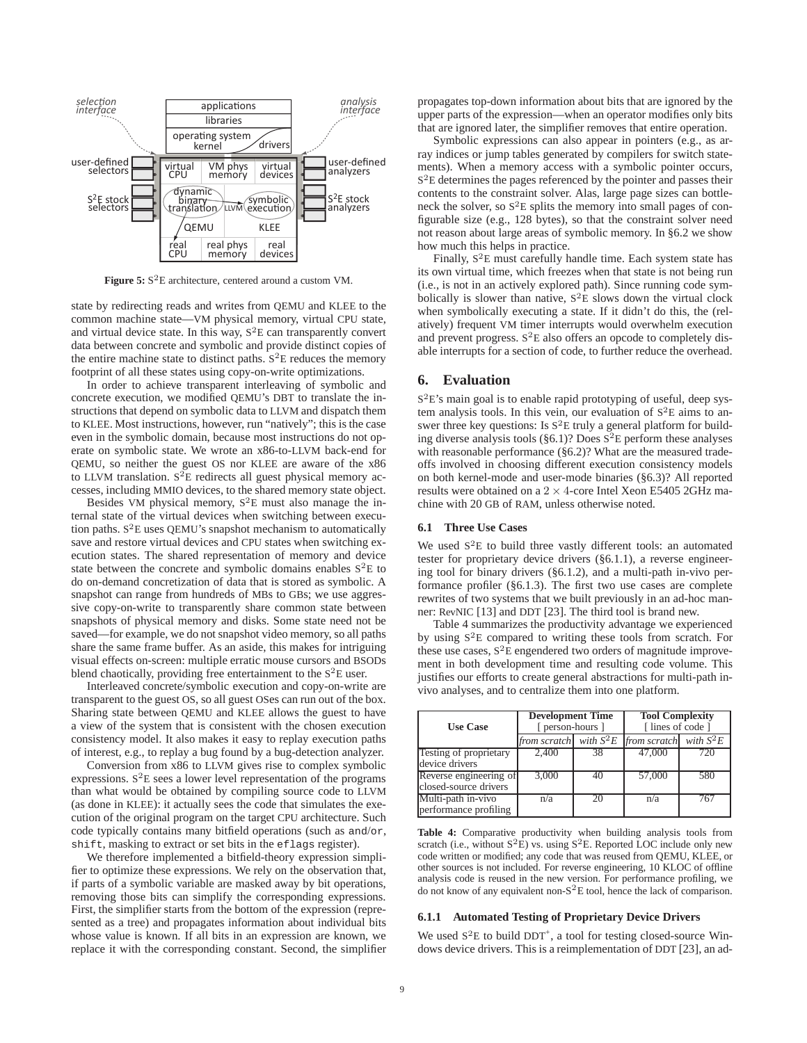

**Figure 5:** S <sup>2</sup>E architecture, centered around a custom VM.

state by redirecting reads and writes from QEMU and KLEE to the common machine state—VM physical memory, virtual CPU state, and virtual device state. In this way, S <sup>2</sup>E can transparently convert data between concrete and symbolic and provide distinct copies of the entire machine state to distinct paths.  $S^2E$  reduces the memory footprint of all these states using copy-on-write optimizations.

In order to achieve transparent interleaving of symbolic and concrete execution, we modified QEMU's DBT to translate the instructions that depend on symbolic data to LLVM and dispatch them to KLEE. Most instructions, however, run "natively"; this is the case even in the symbolic domain, because most instructions do not operate on symbolic state. We wrote an x86-to-LLVM back-end for QEMU, so neither the guest OS nor KLEE are aware of the x86 to LLVM translation.  $S^2E$  redirects all guest physical memory accesses, including MMIO devices, to the shared memory state object.

Besides VM physical memory, S <sup>2</sup>E must also manage the internal state of the virtual devices when switching between execution paths. S <sup>2</sup>E uses QEMU's snapshot mechanism to automatically save and restore virtual devices and CPU states when switching execution states. The shared representation of memory and device state between the concrete and symbolic domains enables S <sup>2</sup>E to do on-demand concretization of data that is stored as symbolic. A snapshot can range from hundreds of MBs to GBs; we use aggressive copy-on-write to transparently share common state between snapshots of physical memory and disks. Some state need not be saved—for example, we do not snapshot video memory, so all paths share the same frame buffer. As an aside, this makes for intriguing visual effects on-screen: multiple erratic mouse cursors and BSODs blend chaotically, providing free entertainment to the S<sup>2</sup>E user.

Interleaved concrete/symbolic execution and copy-on-write are transparent to the guest OS, so all guest OSes can run out of the box. Sharing state between QEMU and KLEE allows the guest to have a view of the system that is consistent with the chosen execution consistency model. It also makes it easy to replay execution paths of interest, e.g., to replay a bug found by a bug-detection analyzer.

Conversion from x86 to LLVM gives rise to complex symbolic expressions. S <sup>2</sup>E sees a lower level representation of the programs than what would be obtained by compiling source code to LLVM (as done in KLEE): it actually sees the code that simulates the execution of the original program on the target CPU architecture. Such code typically contains many bitfield operations (such as and/or, shift, masking to extract or set bits in the eflags register).

We therefore implemented a bitfield-theory expression simplifier to optimize these expressions. We rely on the observation that, if parts of a symbolic variable are masked away by bit operations, removing those bits can simplify the corresponding expressions. First, the simplifier starts from the bottom of the expression (represented as a tree) and propagates information about individual bits whose value is known. If all bits in an expression are known, we replace it with the corresponding constant. Second, the simplifier propagates top-down information about bits that are ignored by the upper parts of the expression—when an operator modifies only bits that are ignored later, the simplifier removes that entire operation.

Symbolic expressions can also appear in pointers (e.g., as array indices or jump tables generated by compilers for switch statements). When a memory access with a symbolic pointer occurs, S<sup>2</sup>E determines the pages referenced by the pointer and passes their contents to the constraint solver. Alas, large page sizes can bottleneck the solver, so S <sup>2</sup>E splits the memory into small pages of configurable size (e.g., 128 bytes), so that the constraint solver need not reason about large areas of symbolic memory. In §6.2 we show how much this helps in practice.

Finally, S<sup>2</sup>E must carefully handle time. Each system state has its own virtual time, which freezes when that state is not being run (i.e., is not in an actively explored path). Since running code symbolically is slower than native,  $S^2$ E slows down the virtual clock when symbolically executing a state. If it didn't do this, the (relatively) frequent VM timer interrupts would overwhelm execution and prevent progress. S <sup>2</sup>E also offers an opcode to completely disable interrupts for a section of code, to further reduce the overhead.

## **6. Evaluation**

S <sup>2</sup>E's main goal is to enable rapid prototyping of useful, deep system analysis tools. In this vein, our evaluation of S <sup>2</sup>E aims to answer three key questions: Is S <sup>2</sup>E truly a general platform for building diverse analysis tools (§6.1)? Does  $S^2E$  perform these analyses with reasonable performance (§6.2)? What are the measured tradeoffs involved in choosing different execution consistency models on both kernel-mode and user-mode binaries (§6.3)? All reported results were obtained on a 2 × 4-core Intel Xeon E5405 2GHz machine with 20 GB of RAM, unless otherwise noted.

## **6.1 Three Use Cases**

We used  $S<sup>2</sup>E$  to build three vastly different tools: an automated tester for proprietary device drivers (§6.1.1), a reverse engineering tool for binary drivers (§6.1.2), and a multi-path in-vivo performance profiler (§6.1.3). The first two use cases are complete rewrites of two systems that we built previously in an ad-hoc manner: RevNIC [13] and DDT [23]. The third tool is brand new.

Table 4 summarizes the productivity advantage we experienced by using S <sup>2</sup>E compared to writing these tools from scratch. For these use cases, S <sup>2</sup>E engendered two orders of magnitude improvement in both development time and resulting code volume. This justifies our efforts to create general abstractions for multi-path invivo analyses, and to centralize them into one platform.

| <b>Use Case</b>                                 | <b>Development Time</b><br>[ person-hours ] |             | <b>Tool Complexity</b><br>[lines of code] |             |
|-------------------------------------------------|---------------------------------------------|-------------|-------------------------------------------|-------------|
|                                                 | from scratch                                | with $S^2E$ | from scratch                              | with $S^2E$ |
| Testing of proprietary<br>device drivers        | 2,400                                       | 38          | 47,000                                    | 720         |
| Reverse engineering of<br>closed-source drivers | 3,000                                       | 40          | 57,000                                    | 580         |
| Multi-path in-vivo<br>performance profiling     | n/a                                         |             | n/a                                       | 767         |

Table 4: Comparative productivity when building analysis tools from scratch (i.e., without  $S^2E$ ) vs. using  $S^2E$ . Reported LOC include only new code written or modified; any code that was reused from QEMU, KLEE, or other sources is not included. For reverse engineering, 10 KLOC of offline analysis code is reused in the new version. For performance profiling, we do not know of any equivalent non- $S^2E$  tool, hence the lack of comparison.

#### **6.1.1 Automated Testing of Proprietary Device Drivers**

We used  $S^2E$  to build DDT<sup>+</sup>, a tool for testing closed-source Windows device drivers. This is a reimplementation of DDT [23], an ad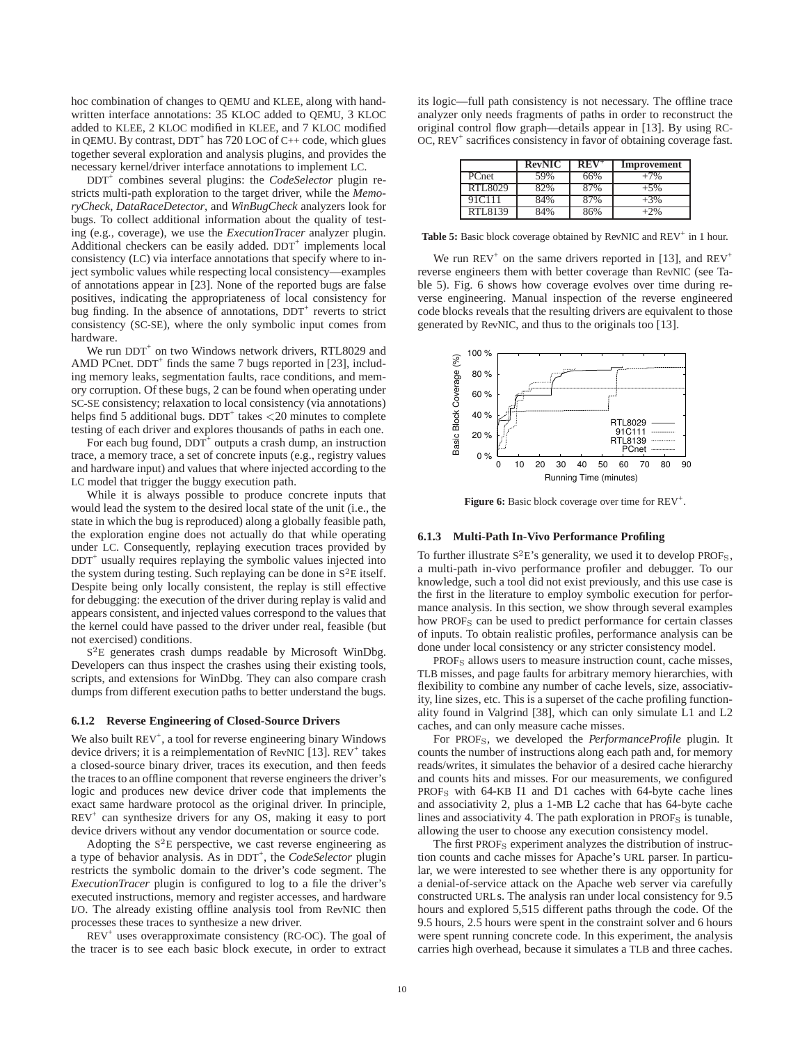hoc combination of changes to QEMU and KLEE, along with handwritten interface annotations: 35 KLOC added to QEMU, 3 KLOC added to KLEE, 2 KLOC modified in KLEE, and 7 KLOC modified in QEMU. By contrast, DDT<sup>+</sup> has 720 LOC of C++ code, which glues together several exploration and analysis plugins, and provides the necessary kernel/driver interface annotations to implement LC.

DDT<sup>+</sup> combines several plugins: the *CodeSelector* plugin restricts multi-path exploration to the target driver, while the *MemoryCheck*, *DataRaceDetector*, and *WinBugCheck* analyzers look for bugs. To collect additional information about the quality of testing (e.g., coverage), we use the *ExecutionTracer* analyzer plugin. Additional checkers can be easily added.  $DDT^{+}$  implements local consistency (LC) via interface annotations that specify where to inject symbolic values while respecting local consistency—examples of annotations appear in [23]. None of the reported bugs are false positives, indicating the appropriateness of local consistency for bug finding. In the absence of annotations,  $DDT^{+}$  reverts to strict consistency (SC-SE), where the only symbolic input comes from hardware.

We run DDT<sup>+</sup> on two Windows network drivers, RTL8029 and AMD PCnet.  $DDT^+$  finds the same 7 bugs reported in [23], including memory leaks, segmentation faults, race conditions, and memory corruption. Of these bugs, 2 can be found when operating under SC-SE consistency; relaxation to local consistency (via annotations) helps find 5 additional bugs.  $DDT^+$  takes  $\lt 20$  minutes to complete testing of each driver and explores thousands of paths in each one.

For each bug found,  $DDT^{+}$  outputs a crash dump, an instruction trace, a memory trace, a set of concrete inputs (e.g., registry values and hardware input) and values that where injected according to the LC model that trigger the buggy execution path.

While it is always possible to produce concrete inputs that would lead the system to the desired local state of the unit (i.e., the state in which the bug is reproduced) along a globally feasible path, the exploration engine does not actually do that while operating under LC. Consequently, replaying execution traces provided by DDT<sup>+</sup> usually requires replaying the symbolic values injected into the system during testing. Such replaying can be done in S <sup>2</sup>E itself. Despite being only locally consistent, the replay is still effective for debugging: the execution of the driver during replay is valid and appears consistent, and injected values correspond to the values that the kernel could have passed to the driver under real, feasible (but not exercised) conditions.

S <sup>2</sup>E generates crash dumps readable by Microsoft WinDbg. Developers can thus inspect the crashes using their existing tools, scripts, and extensions for WinDbg. They can also compare crash dumps from different execution paths to better understand the bugs.

## **6.1.2 Reverse Engineering of Closed-Source Drivers**

We also built REV<sup>+</sup>, a tool for reverse engineering binary Windows device drivers; it is a reimplementation of RevNIC [13]. REV<sup>+</sup> takes a closed-source binary driver, traces its execution, and then feeds the traces to an offline component that reverse engineers the driver's logic and produces new device driver code that implements the exact same hardware protocol as the original driver. In principle, REV<sup>+</sup> can synthesize drivers for any OS, making it easy to port device drivers without any vendor documentation or source code.

Adopting the S <sup>2</sup>E perspective, we cast reverse engineering as a type of behavior analysis. As in DDT<sup>+</sup>, the *CodeSelector* plugin restricts the symbolic domain to the driver's code segment. The *ExecutionTracer* plugin is configured to log to a file the driver's executed instructions, memory and register accesses, and hardware I/O. The already existing offline analysis tool from RevNIC then processes these traces to synthesize a new driver.

REV<sup>+</sup> uses overapproximate consistency (RC-OC). The goal of the tracer is to see each basic block execute, in order to extract its logic—full path consistency is not necessary. The offline trace analyzer only needs fragments of paths in order to reconstruct the original control flow graph—details appear in [13]. By using RC-OC, REV<sup>+</sup> sacrifices consistency in favor of obtaining coverage fast.

|                     | <b>RevNIC</b> | K H. V | Improvement |
|---------------------|---------------|--------|-------------|
| $\overline{PC}$ net | 59%           | 66%    | $+7%$       |
| RTL8029             | 82%           | 87%    | $+5%$       |
| 91C111              | 84%           | 87%    | $+3%$       |
| RTL8139             | 84%           | 86%    | $+2\%$      |

Table 5: Basic block coverage obtained by RevNIC and REV<sup>+</sup> in 1 hour.

We run  $REV^+$  on the same drivers reported in [13], and  $REV^+$ reverse engineers them with better coverage than RevNIC (see Table 5). Fig. 6 shows how coverage evolves over time during reverse engineering. Manual inspection of the reverse engineered code blocks reveals that the resulting drivers are equivalent to those generated by RevNIC, and thus to the originals too [13].



Figure 6: Basic block coverage over time for REV<sup>+</sup>.

#### **6.1.3 Multi-Path In-Vivo Performance Profiling**

To further illustrate S<sup>2</sup>E's generality, we used it to develop PROF<sub>S</sub>, a multi-path in-vivo performance profiler and debugger. To our knowledge, such a tool did not exist previously, and this use case is the first in the literature to employ symbolic execution for performance analysis. In this section, we show through several examples how PROF<sup>S</sup> can be used to predict performance for certain classes of inputs. To obtain realistic profiles, performance analysis can be done under local consistency or any stricter consistency model.

PROF<sup>S</sup> allows users to measure instruction count, cache misses, TLB misses, and page faults for arbitrary memory hierarchies, with flexibility to combine any number of cache levels, size, associativity, line sizes, etc. This is a superset of the cache profiling functionality found in Valgrind [38], which can only simulate L1 and L2 caches, and can only measure cache misses.

For PROFS, we developed the *PerformanceProfile* plugin. It counts the number of instructions along each path and, for memory reads/writes, it simulates the behavior of a desired cache hierarchy and counts hits and misses. For our measurements, we configured PROF<sup>S</sup> with 64-KB I1 and D1 caches with 64-byte cache lines and associativity 2, plus a 1-MB L2 cache that has 64-byte cache lines and associativity 4. The path exploration in PROF<sup>S</sup> is tunable, allowing the user to choose any execution consistency model.

The first PROF<sup>S</sup> experiment analyzes the distribution of instruction counts and cache misses for Apache's URL parser. In particular, we were interested to see whether there is any opportunity for a denial-of-service attack on the Apache web server via carefully constructed URLs. The analysis ran under local consistency for 9.5 hours and explored 5,515 different paths through the code. Of the 9.5 hours, 2.5 hours were spent in the constraint solver and 6 hours were spent running concrete code. In this experiment, the analysis carries high overhead, because it simulates a TLB and three caches.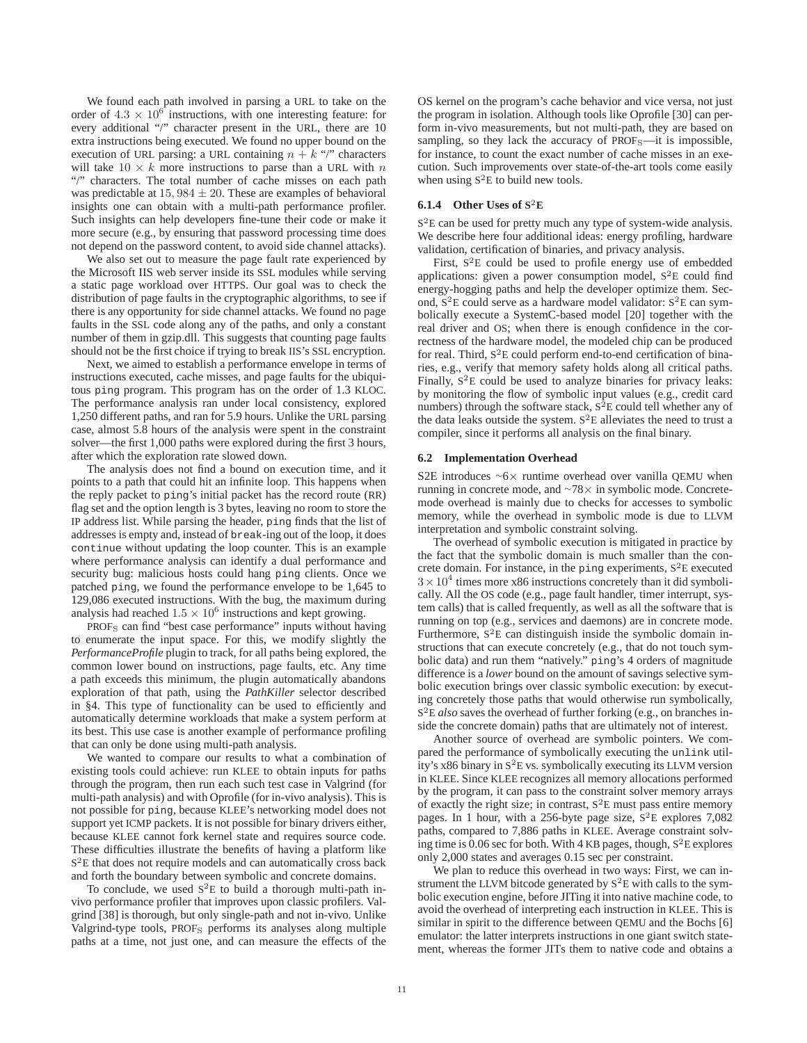We found each path involved in parsing a URL to take on the order of  $4.3 \times 10^6$  instructions, with one interesting feature: for every additional "/" character present in the URL, there are 10 extra instructions being executed. We found no upper bound on the execution of URL parsing: a URL containing  $n + k$  "/" characters will take  $10 \times k$  more instructions to parse than a URL with n "/" characters. The total number of cache misses on each path was predictable at  $15,984 \pm 20$ . These are examples of behavioral insights one can obtain with a multi-path performance profiler. Such insights can help developers fine-tune their code or make it more secure (e.g., by ensuring that password processing time does not depend on the password content, to avoid side channel attacks).

We also set out to measure the page fault rate experienced by the Microsoft IIS web server inside its SSL modules while serving a static page workload over HTTPS. Our goal was to check the distribution of page faults in the cryptographic algorithms, to see if there is any opportunity for side channel attacks. We found no page faults in the SSL code along any of the paths, and only a constant number of them in gzip.dll. This suggests that counting page faults should not be the first choice if trying to break IIS's SSL encryption.

Next, we aimed to establish a performance envelope in terms of instructions executed, cache misses, and page faults for the ubiquitous ping program. This program has on the order of 1.3 KLOC. The performance analysis ran under local consistency, explored 1,250 different paths, and ran for 5.9 hours. Unlike the URL parsing case, almost 5.8 hours of the analysis were spent in the constraint solver—the first 1,000 paths were explored during the first 3 hours, after which the exploration rate slowed down.

The analysis does not find a bound on execution time, and it points to a path that could hit an infinite loop. This happens when the reply packet to ping's initial packet has the record route (RR) flag set and the option length is 3 bytes, leaving no room to store the IP address list. While parsing the header, ping finds that the list of addresses is empty and, instead of break-ing out of the loop, it does continue without updating the loop counter. This is an example where performance analysis can identify a dual performance and security bug: malicious hosts could hang ping clients. Once we patched ping, we found the performance envelope to be 1,645 to 129,086 executed instructions. With the bug, the maximum during analysis had reached  $1.5 \times 10^6$  instructions and kept growing.

PROF<sup>S</sup> can find "best case performance" inputs without having to enumerate the input space. For this, we modify slightly the *PerformanceProfile* plugin to track, for all paths being explored, the common lower bound on instructions, page faults, etc. Any time a path exceeds this minimum, the plugin automatically abandons exploration of that path, using the *PathKiller* selector described in §4. This type of functionality can be used to efficiently and automatically determine workloads that make a system perform at its best. This use case is another example of performance profiling that can only be done using multi-path analysis.

We wanted to compare our results to what a combination of existing tools could achieve: run KLEE to obtain inputs for paths through the program, then run each such test case in Valgrind (for multi-path analysis) and with Oprofile (for in-vivo analysis). This is not possible for ping, because KLEE's networking model does not support yet ICMP packets. It is not possible for binary drivers either, because KLEE cannot fork kernel state and requires source code. These difficulties illustrate the benefits of having a platform like S <sup>2</sup>E that does not require models and can automatically cross back and forth the boundary between symbolic and concrete domains.

To conclude, we used S <sup>2</sup>E to build a thorough multi-path invivo performance profiler that improves upon classic profilers. Valgrind [38] is thorough, but only single-path and not in-vivo. Unlike Valgrind-type tools, PROF<sup>S</sup> performs its analyses along multiple paths at a time, not just one, and can measure the effects of the OS kernel on the program's cache behavior and vice versa, not just the program in isolation. Although tools like Oprofile [30] can perform in-vivo measurements, but not multi-path, they are based on sampling, so they lack the accuracy of PROF<sub>S</sub>—it is impossible, for instance, to count the exact number of cache misses in an execution. Such improvements over state-of-the-art tools come easily when using  $S^2E$  to build new tools.

## **6.1.4 Other Uses of S** 2**E**

S<sup>2</sup>E can be used for pretty much any type of system-wide analysis. We describe here four additional ideas: energy profiling, hardware validation, certification of binaries, and privacy analysis.

First,  $S^2E$  could be used to profile energy use of embedded applications: given a power consumption model, S <sup>2</sup>E could find energy-hogging paths and help the developer optimize them. Second, S <sup>2</sup>E could serve as a hardware model validator: S <sup>2</sup>E can symbolically execute a SystemC-based model [20] together with the real driver and OS; when there is enough confidence in the correctness of the hardware model, the modeled chip can be produced for real. Third, S<sup>2</sup>E could perform end-to-end certification of binaries, e.g., verify that memory safety holds along all critical paths. Finally, S <sup>2</sup>E could be used to analyze binaries for privacy leaks: by monitoring the flow of symbolic input values (e.g., credit card numbers) through the software stack,  $S^2E$  could tell whether any of the data leaks outside the system.  $S^2E$  alleviates the need to trust a compiler, since it performs all analysis on the final binary.

#### **6.2 Implementation Overhead**

S2E introduces <sup>∼</sup>6× runtime overhead over vanilla QEMU when running in concrete mode, and <sup>∼</sup>78× in symbolic mode. Concretemode overhead is mainly due to checks for accesses to symbolic memory, while the overhead in symbolic mode is due to LLVM interpretation and symbolic constraint solving.

The overhead of symbolic execution is mitigated in practice by the fact that the symbolic domain is much smaller than the concrete domain. For instance, in the ping experiments, S <sup>2</sup>E executed  $3 \times 10^4$  times more x86 instructions concretely than it did symbolically. All the OS code (e.g., page fault handler, timer interrupt, system calls) that is called frequently, as well as all the software that is running on top (e.g., services and daemons) are in concrete mode. Furthermore,  $S^2E$  can distinguish inside the symbolic domain instructions that can execute concretely (e.g., that do not touch symbolic data) and run them "natively." ping's 4 orders of magnitude difference is a *lower* bound on the amount of savings selective symbolic execution brings over classic symbolic execution: by executing concretely those paths that would otherwise run symbolically, S<sup>2</sup>E also saves the overhead of further forking (e.g., on branches inside the concrete domain) paths that are ultimately not of interest.

Another source of overhead are symbolic pointers. We compared the performance of symbolically executing the unlink utility's x86 binary in S <sup>2</sup>E vs. symbolically executing its LLVM version in KLEE. Since KLEE recognizes all memory allocations performed by the program, it can pass to the constraint solver memory arrays of exactly the right size; in contrast, S <sup>2</sup>E must pass entire memory pages. In 1 hour, with a 256-byte page size,  $S^2E$  explores 7,082 paths, compared to 7,886 paths in KLEE. Average constraint solving time is 0.06 sec for both. With 4 KB pages, though,  $S^2E$  explores only 2,000 states and averages 0.15 sec per constraint.

We plan to reduce this overhead in two ways: First, we can instrument the LLVM bitcode generated by  $S^2E$  with calls to the symbolic execution engine, before JITing it into native machine code, to avoid the overhead of interpreting each instruction in KLEE. This is similar in spirit to the difference between QEMU and the Bochs [6] emulator: the latter interprets instructions in one giant switch statement, whereas the former JITs them to native code and obtains a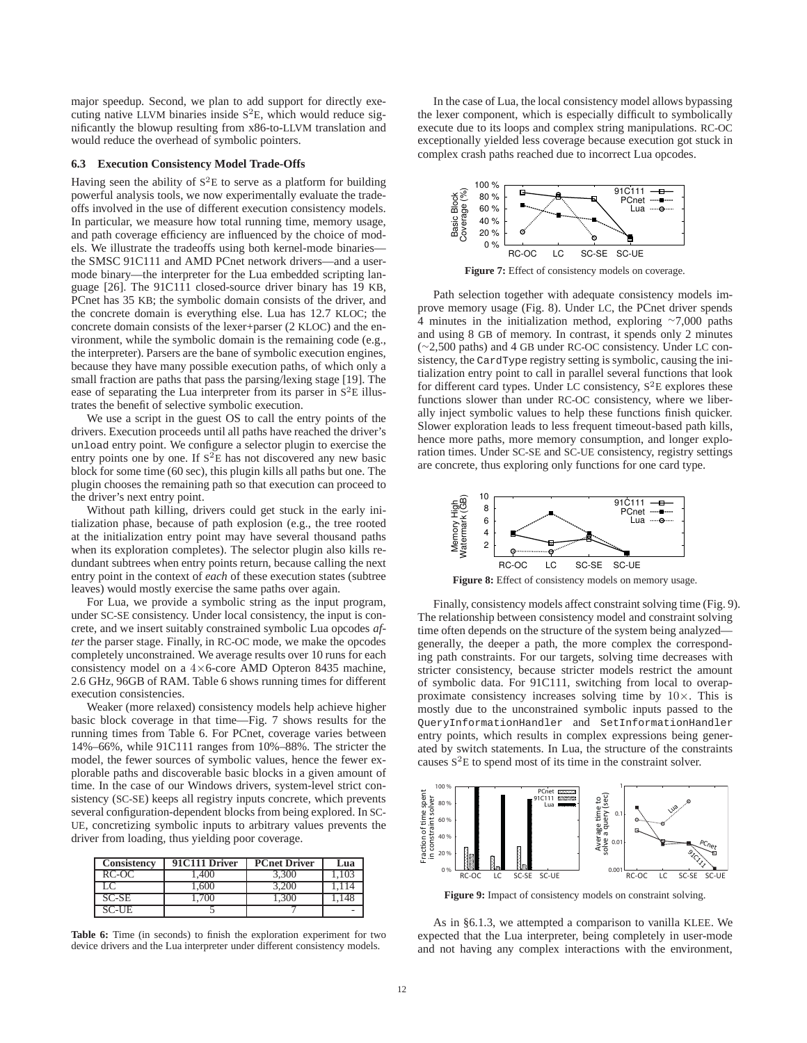major speedup. Second, we plan to add support for directly executing native LLVM binaries inside S <sup>2</sup>E, which would reduce significantly the blowup resulting from x86-to-LLVM translation and would reduce the overhead of symbolic pointers.

#### **6.3 Execution Consistency Model Trade-Offs**

Having seen the ability of  $S^2E$  to serve as a platform for building powerful analysis tools, we now experimentally evaluate the tradeoffs involved in the use of different execution consistency models. In particular, we measure how total running time, memory usage, and path coverage efficiency are influenced by the choice of models. We illustrate the tradeoffs using both kernel-mode binaries the SMSC 91C111 and AMD PCnet network drivers—and a usermode binary—the interpreter for the Lua embedded scripting language [26]. The 91C111 closed-source driver binary has 19 KB, PCnet has 35 KB; the symbolic domain consists of the driver, and the concrete domain is everything else. Lua has 12.7 KLOC; the concrete domain consists of the lexer+parser (2 KLOC) and the environment, while the symbolic domain is the remaining code (e.g., the interpreter). Parsers are the bane of symbolic execution engines, because they have many possible execution paths, of which only a small fraction are paths that pass the parsing/lexing stage [19]. The ease of separating the Lua interpreter from its parser in S<sup>2</sup>E illustrates the benefit of selective symbolic execution.

We use a script in the guest OS to call the entry points of the drivers. Execution proceeds until all paths have reached the driver's unload entry point. We configure a selector plugin to exercise the entry points one by one. If S<sup>2</sup>E has not discovered any new basic block for some time (60 sec), this plugin kills all paths but one. The plugin chooses the remaining path so that execution can proceed to the driver's next entry point.

Without path killing, drivers could get stuck in the early initialization phase, because of path explosion (e.g., the tree rooted at the initialization entry point may have several thousand paths when its exploration completes). The selector plugin also kills redundant subtrees when entry points return, because calling the next entry point in the context of *each* of these execution states (subtree leaves) would mostly exercise the same paths over again.

For Lua, we provide a symbolic string as the input program, under SC-SE consistency. Under local consistency, the input is concrete, and we insert suitably constrained symbolic Lua opcodes *after* the parser stage. Finally, in RC-OC mode, we make the opcodes completely unconstrained. We average results over 10 runs for each consistency model on a 4×6-core AMD Opteron 8435 machine, 2.6 GHz, 96GB of RAM. Table 6 shows running times for different execution consistencies.

Weaker (more relaxed) consistency models help achieve higher basic block coverage in that time—Fig. 7 shows results for the running times from Table 6. For PCnet, coverage varies between 14%–66%, while 91C111 ranges from 10%–88%. The stricter the model, the fewer sources of symbolic values, hence the fewer explorable paths and discoverable basic blocks in a given amount of time. In the case of our Windows drivers, system-level strict consistency (SC-SE) keeps all registry inputs concrete, which prevents several configuration-dependent blocks from being explored. In SC-UE, concretizing symbolic inputs to arbitrary values prevents the driver from loading, thus yielding poor coverage.

| Consistency | 91C111 Driver | <b>PCnet Driver</b> | Lua |
|-------------|---------------|---------------------|-----|
| RC-OC       | 400           | 3.3UC               |     |
|             | 600           |                     |     |
| SC-SE       | .700          |                     |     |
| $SC-IIF$    |               |                     |     |

**Table 6:** Time (in seconds) to finish the exploration experiment for two device drivers and the Lua interpreter under different consistency models.

In the case of Lua, the local consistency model allows bypassing the lexer component, which is especially difficult to symbolically execute due to its loops and complex string manipulations. RC-OC exceptionally yielded less coverage because execution got stuck in complex crash paths reached due to incorrect Lua opcodes.



**Figure 7:** Effect of consistency models on coverage.

Path selection together with adequate consistency models improve memory usage (Fig. 8). Under LC, the PCnet driver spends 4 minutes in the initialization method, exploring <sup>∼</sup>7,000 paths and using 8 GB of memory. In contrast, it spends only 2 minutes (<sup>∼</sup>2,500 paths) and 4 GB under RC-OC consistency. Under LC consistency, the CardType registry setting is symbolic, causing the initialization entry point to call in parallel several functions that look for different card types. Under LC consistency,  $S^2E$  explores these functions slower than under RC-OC consistency, where we liberally inject symbolic values to help these functions finish quicker. Slower exploration leads to less frequent timeout-based path kills, hence more paths, more memory consumption, and longer exploration times. Under SC-SE and SC-UE consistency, registry settings are concrete, thus exploring only functions for one card type.



**Figure 8:** Effect of consistency models on memory usage.

Finally, consistency models affect constraint solving time (Fig. 9). The relationship between consistency model and constraint solving time often depends on the structure of the system being analyzed generally, the deeper a path, the more complex the corresponding path constraints. For our targets, solving time decreases with stricter consistency, because stricter models restrict the amount of symbolic data. For 91C111, switching from local to overapproximate consistency increases solving time by  $10\times$ . This is mostly due to the unconstrained symbolic inputs passed to the QueryInformationHandler and SetInformationHandler entry points, which results in complex expressions being generated by switch statements. In Lua, the structure of the constraints causes S <sup>2</sup>E to spend most of its time in the constraint solver.



**Figure 9:** Impact of consistency models on constraint solving.

As in §6.1.3, we attempted a comparison to vanilla KLEE. We expected that the Lua interpreter, being completely in user-mode and not having any complex interactions with the environment,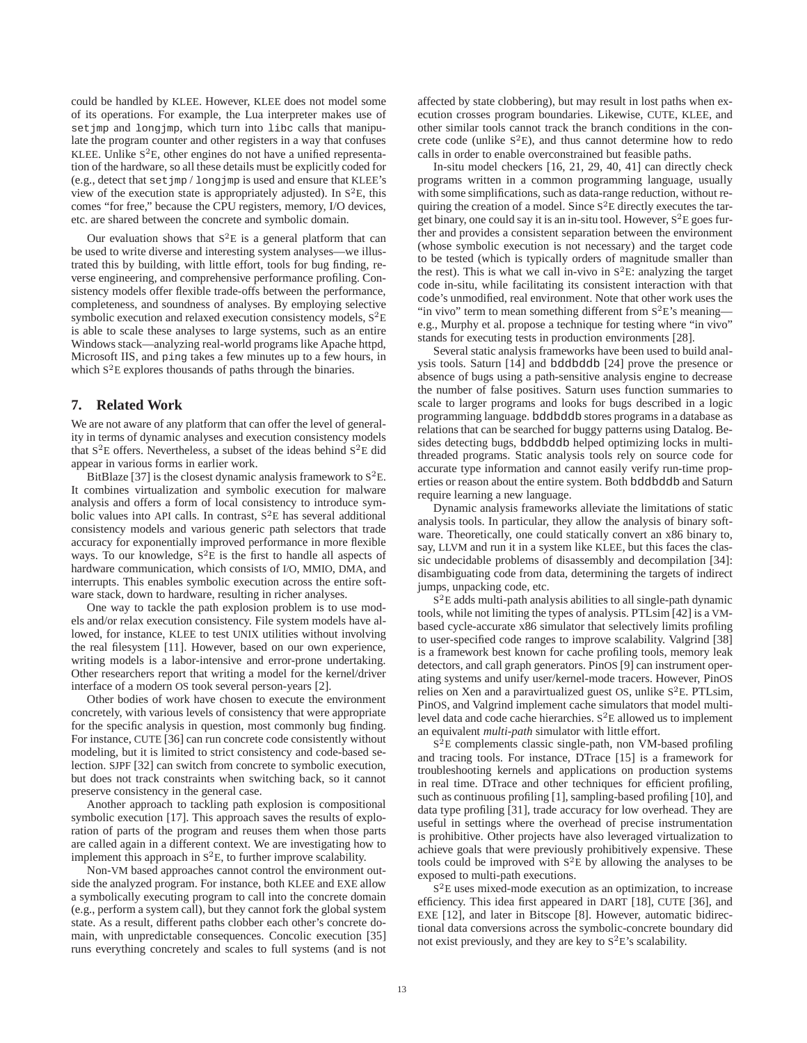could be handled by KLEE. However, KLEE does not model some of its operations. For example, the Lua interpreter makes use of setjmp and longjmp, which turn into libc calls that manipulate the program counter and other registers in a way that confuses KLEE. Unlike  $S^2E$ , other engines do not have a unified representation of the hardware, so all these details must be explicitly coded for (e.g., detect that setjmp / longjmp is used and ensure that KLEE's view of the execution state is appropriately adjusted). In S <sup>2</sup>E, this comes "for free," because the CPU registers, memory, I/O devices, etc. are shared between the concrete and symbolic domain.

Our evaluation shows that  $S^2E$  is a general platform that can be used to write diverse and interesting system analyses—we illustrated this by building, with little effort, tools for bug finding, reverse engineering, and comprehensive performance profiling. Consistency models offer flexible trade-offs between the performance, completeness, and soundness of analyses. By employing selective symbolic execution and relaxed execution consistency models, S<sup>2</sup>E is able to scale these analyses to large systems, such as an entire Windows stack—analyzing real-world programs like Apache httpd, Microsoft IIS, and ping takes a few minutes up to a few hours, in which S <sup>2</sup>E explores thousands of paths through the binaries.

## **7. Related Work**

We are not aware of any platform that can offer the level of generality in terms of dynamic analyses and execution consistency models that S <sup>2</sup>E offers. Nevertheless, a subset of the ideas behind S <sup>2</sup>E did appear in various forms in earlier work.

BitBlaze [37] is the closest dynamic analysis framework to  $S^2E$ . It combines virtualization and symbolic execution for malware analysis and offers a form of local consistency to introduce symbolic values into API calls. In contrast, S <sup>2</sup>E has several additional consistency models and various generic path selectors that trade accuracy for exponentially improved performance in more flexible ways. To our knowledge, S <sup>2</sup>E is the first to handle all aspects of hardware communication, which consists of I/O, MMIO, DMA, and interrupts. This enables symbolic execution across the entire software stack, down to hardware, resulting in richer analyses.

One way to tackle the path explosion problem is to use models and/or relax execution consistency. File system models have allowed, for instance, KLEE to test UNIX utilities without involving the real filesystem [11]. However, based on our own experience, writing models is a labor-intensive and error-prone undertaking. Other researchers report that writing a model for the kernel/driver interface of a modern OS took several person-years [2].

Other bodies of work have chosen to execute the environment concretely, with various levels of consistency that were appropriate for the specific analysis in question, most commonly bug finding. For instance, CUTE [36] can run concrete code consistently without modeling, but it is limited to strict consistency and code-based selection. SJPF [32] can switch from concrete to symbolic execution, but does not track constraints when switching back, so it cannot preserve consistency in the general case.

Another approach to tackling path explosion is compositional symbolic execution [17]. This approach saves the results of exploration of parts of the program and reuses them when those parts are called again in a different context. We are investigating how to implement this approach in S <sup>2</sup>E, to further improve scalability.

Non-VM based approaches cannot control the environment outside the analyzed program. For instance, both KLEE and EXE allow a symbolically executing program to call into the concrete domain (e.g., perform a system call), but they cannot fork the global system state. As a result, different paths clobber each other's concrete domain, with unpredictable consequences. Concolic execution [35] runs everything concretely and scales to full systems (and is not affected by state clobbering), but may result in lost paths when execution crosses program boundaries. Likewise, CUTE, KLEE, and other similar tools cannot track the branch conditions in the concrete code (unlike S <sup>2</sup>E), and thus cannot determine how to redo calls in order to enable overconstrained but feasible paths.

In-situ model checkers [16, 21, 29, 40, 41] can directly check programs written in a common programming language, usually with some simplifications, such as data-range reduction, without requiring the creation of a model. Since S<sup>2</sup>E directly executes the target binary, one could say it is an in-situ tool. However, S <sup>2</sup>E goes further and provides a consistent separation between the environment (whose symbolic execution is not necessary) and the target code to be tested (which is typically orders of magnitude smaller than the rest). This is what we call in-vivo in  $S^2E$ : analyzing the target code in-situ, while facilitating its consistent interaction with that code's unmodified, real environment. Note that other work uses the "in vivo" term to mean something different from S<sup>2</sup>E's meaninge.g., Murphy et al. propose a technique for testing where "in vivo" stands for executing tests in production environments [28].

Several static analysis frameworks have been used to build analysis tools. Saturn [14] and bddbddb [24] prove the presence or absence of bugs using a path-sensitive analysis engine to decrease the number of false positives. Saturn uses function summaries to scale to larger programs and looks for bugs described in a logic programming language. bddbddb stores programs in a database as relations that can be searched for buggy patterns using Datalog. Besides detecting bugs, bddbddb helped optimizing locks in multithreaded programs. Static analysis tools rely on source code for accurate type information and cannot easily verify run-time properties or reason about the entire system. Both bddbddb and Saturn require learning a new language.

Dynamic analysis frameworks alleviate the limitations of static analysis tools. In particular, they allow the analysis of binary software. Theoretically, one could statically convert an x86 binary to, say, LLVM and run it in a system like KLEE, but this faces the classic undecidable problems of disassembly and decompilation [34]: disambiguating code from data, determining the targets of indirect jumps, unpacking code, etc.

S <sup>2</sup>E adds multi-path analysis abilities to all single-path dynamic tools, while not limiting the types of analysis. PTLsim [42] is a VMbased cycle-accurate x86 simulator that selectively limits profiling to user-specified code ranges to improve scalability. Valgrind [38] is a framework best known for cache profiling tools, memory leak detectors, and call graph generators. PinOS [9] can instrument operating systems and unify user/kernel-mode tracers. However, PinOS relies on Xen and a paravirtualized guest OS, unlike S <sup>2</sup>E. PTLsim, PinOS, and Valgrind implement cache simulators that model multilevel data and code cache hierarchies. S <sup>2</sup>E allowed us to implement an equivalent *multi-path* simulator with little effort.

S<sup>2</sup>E complements classic single-path, non VM-based profiling and tracing tools. For instance, DTrace [15] is a framework for troubleshooting kernels and applications on production systems in real time. DTrace and other techniques for efficient profiling, such as continuous profiling [1], sampling-based profiling [10], and data type profiling [31], trade accuracy for low overhead. They are useful in settings where the overhead of precise instrumentation is prohibitive. Other projects have also leveraged virtualization to achieve goals that were previously prohibitively expensive. These tools could be improved with S <sup>2</sup>E by allowing the analyses to be exposed to multi-path executions.

S <sup>2</sup>E uses mixed-mode execution as an optimization, to increase efficiency. This idea first appeared in DART [18], CUTE [36], and EXE [12], and later in Bitscope [8]. However, automatic bidirectional data conversions across the symbolic-concrete boundary did not exist previously, and they are key to  $S^2E$ 's scalability.